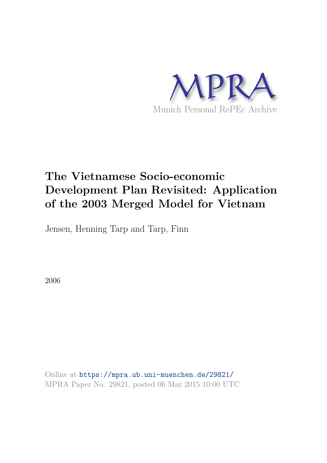

# **The Vietnamese Socio-economic Development Plan Revisited: Application of the 2003 Merged Model for Vietnam**

Jensen, Henning Tarp and Tarp, Finn

2006

Online at https://mpra.ub.uni-muenchen.de/29821/ MPRA Paper No. 29821, posted 06 Mar 2015 10:00 UTC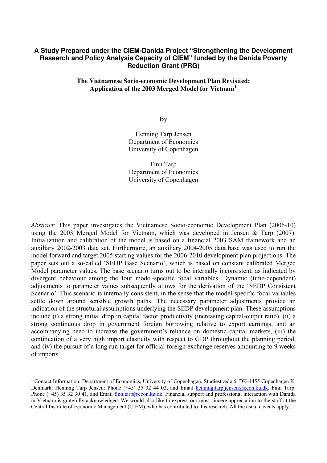#### **A Study Prepared under the CIEM-Danida Project "Strengthening the Development Research and Policy Analysis Capacity of CIEM" funded by the Danida Poverty Reduction Grant (PRG)**

#### **The Vietnamese Socio-economic Development Plan Revisited: Application of the 2003 Merged Model for Vietnam<sup>1</sup>**

By

Henning Tarp Jensen Department of Economics University of Copenhagen

Finn Tarp Department of Economics University of Copenhagen

*Abstract:* This paper investigates the Vietnamese Socio-economic Development Plan (2006-10) using the 2003 Merged Model for Vietnam, which was developed in Jensen & Tarp (2007). Initialization and calibration of the model is based on a financial 2003 SAM framework and an auxiliary 2002-2003 data set. Furthermore, an auxiliary 2004-2005 data base was used to run the model forward and target 2005 starting values for the 2006-2010 development plan projections. The paper sets out a so-called 'SEDP Base Scenario', which is based on constant calibrated Merged Model parameter values. The base scenario turns out to be internally inconsistent, as indicated by divergent behaviour among the four model-specific focal variables. Dynamic (time-dependent) adjustments to parameter values subsequently allows for the derivation of the 'SEDP Consistent Scenario'. This scenario is internally consistent, in the sense that the model-specific focal variables settle down around sensible growth paths. The necessary parameter adjustments provide an indication of the structural assumptions underlying the SEDP development plan. These assumptions include (i) a strong initial drop in capital factor productivity (increasing capital-output ratio), (ii) a strong continuous drop in government foreign borrowing relative to export earnings, and an accompanying need to increase the government's reliance on domestic capital markets, (iii) the continuation of a very high import elasticity with respect to GDP throughout the planning period, and (iv) the pursuit of a long run target for official foreign exchange reserves amounting to 9 weeks of imports.

 $\overline{a}$ 

<sup>&</sup>lt;sup>1</sup> Contact Information: Department of Economics, University of Copenhagen, Studiestræde 6, DK-1455 Copenhagen K, Denmark. Henning Tarp Jensen: Phone (+45) 35 32 44 02, and Email henning.tarp.jensen@econ.ku.dk. Finn Tarp: Phone (+45) 35 32 30 41, and Email finn.tarp@econ.ku.dk. Financial support and professional interaction with Danida in Vietnam is gratefully acknowledged. We would also like to express our most sincere appreciation to the staff at the Central Institute of Economic Management (CIEM), who has contributed to this research. All the usual caveats apply.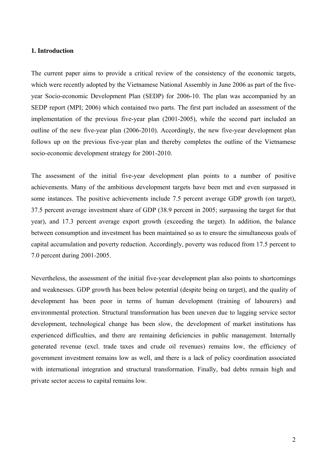#### **1. Introduction**

The current paper aims to provide a critical review of the consistency of the economic targets, which were recently adopted by the Vietnamese National Assembly in June 2006 as part of the fiveyear Socio-economic Development Plan (SEDP) for 2006-10. The plan was accompanied by an SEDP report (MPI; 2006) which contained two parts. The first part included an assessment of the implementation of the previous five-year plan (2001-2005), while the second part included an outline of the new five-year plan (2006-2010). Accordingly, the new five-year development plan follows up on the previous five-year plan and thereby completes the outline of the Vietnamese socio-economic development strategy for 2001-2010.

The assessment of the initial five-year development plan points to a number of positive achievements. Many of the ambitious development targets have been met and even surpassed in some instances. The positive achievements include 7.5 percent average GDP growth (on target), 37.5 percent average investment share of GDP (38.9 percent in 2005; surpassing the target for that year), and 17.3 percent average export growth (exceeding the target). In addition, the balance between consumption and investment has been maintained so as to ensure the simultaneous goals of capital accumulation and poverty reduction. Accordingly, poverty was reduced from 17.5 percent to 7.0 percent during 2001-2005.

Nevertheless, the assessment of the initial five-year development plan also points to shortcomings and weaknesses. GDP growth has been below potential (despite being on target), and the quality of development has been poor in terms of human development (training of labourers) and environmental protection. Structural transformation has been uneven due to lagging service sector development, technological change has been slow, the development of market institutions has experienced difficulties, and there are remaining deficiencies in public management. Internally generated revenue (excl. trade taxes and crude oil revenues) remains low, the efficiency of government investment remains low as well, and there is a lack of policy coordination associated with international integration and structural transformation. Finally, bad debts remain high and private sector access to capital remains low.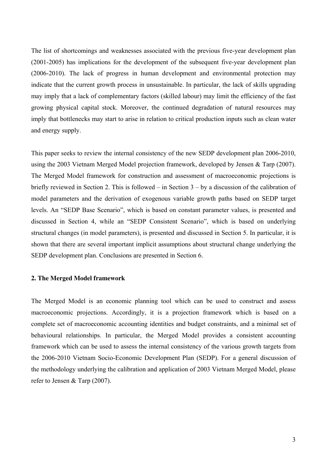The list of shortcomings and weaknesses associated with the previous five-year development plan (2001-2005) has implications for the development of the subsequent five-year development plan (2006-2010). The lack of progress in human development and environmental protection may indicate that the current growth process in unsustainable. In particular, the lack of skills upgrading may imply that a lack of complementary factors (skilled labour) may limit the efficiency of the fast growing physical capital stock. Moreover, the continued degradation of natural resources may imply that bottlenecks may start to arise in relation to critical production inputs such as clean water and energy supply.

This paper seeks to review the internal consistency of the new SEDP development plan 2006-2010, using the 2003 Vietnam Merged Model projection framework, developed by Jensen & Tarp (2007). The Merged Model framework for construction and assessment of macroeconomic projections is briefly reviewed in Section 2. This is followed – in Section 3 – by a discussion of the calibration of model parameters and the derivation of exogenous variable growth paths based on SEDP target levels. An "SEDP Base Scenario", which is based on constant parameter values, is presented and discussed in Section 4, while an "SEDP Consistent Scenario", which is based on underlying structural changes (in model parameters), is presented and discussed in Section 5. In particular, it is shown that there are several important implicit assumptions about structural change underlying the SEDP development plan. Conclusions are presented in Section 6.

#### **2. The Merged Model framework**

The Merged Model is an economic planning tool which can be used to construct and assess macroeconomic projections. Accordingly, it is a projection framework which is based on a complete set of macroeconomic accounting identities and budget constraints, and a minimal set of behavioural relationships. In particular, the Merged Model provides a consistent accounting framework which can be used to assess the internal consistency of the various growth targets from the 2006-2010 Vietnam Socio-Economic Development Plan (SEDP). For a general discussion of the methodology underlying the calibration and application of 2003 Vietnam Merged Model, please refer to Jensen & Tarp (2007).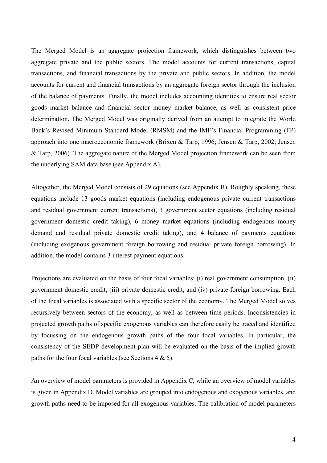The Merged Model is an aggregate projection framework, which distinguishes between two aggregate private and the public sectors. The model accounts for current transactions, capital transactions, and financial transactions by the private and public sectors. In addition, the model accounts for current and financial transactions by an aggregate foreign sector through the inclusion of the balance of payments. Finally, the model includes accounting identities to ensure real sector goods market balance and financial sector money market balance, as well as consistent price determination. The Merged Model was originally derived from an attempt to integrate the World Bank's Revised Minimum Standard Model (RMSM) and the IMF's Financial Programming (FP) approach into one macroeconomic framework (Brixen & Tarp, 1996; Jensen & Tarp, 2002; Jensen & Tarp, 2006). The aggregate nature of the Merged Model projection framework can be seen from the underlying SAM data base (see Appendix A).

Altogether, the Merged Model consists of 29 equations (see Appendix B). Roughly speaking, these equations include 13 goods market equations (including endogenous private current transactions and residual government current transactions), 3 government sector equations (including residual government domestic credit taking), 6 money market equations (including endogenous money demand and residual private domestic credit taking), and 4 balance of payments equations (including exogenous government foreign borrowing and residual private foreign borrowing). In addition, the model contains 3 interest payment equations.

Projections are evaluated on the basis of four focal variables: (i) real government consumption, (ii) government domestic credit, (iii) private domestic credit, and (iv) private foreign borrowing. Each of the focal variables is associated with a specific sector of the economy. The Merged Model solves recursively between sectors of the economy, as well as between time periods. Inconsistencies in projected growth paths of specific exogenous variables can therefore easily be traced and identified by focussing on the endogenous growth paths of the four focal variables. In particular, the consistency of the SEDP development plan will be evaluated on the basis of the implied growth paths for the four focal variables (see Sections  $4 \& 5$ ).

An overview of model parameters is provided in Appendix C, while an overview of model variables is given in Appendix D. Model variables are grouped into endogenous and exogenous variables, and growth paths need to be imposed for all exogenous variables. The calibration of model parameters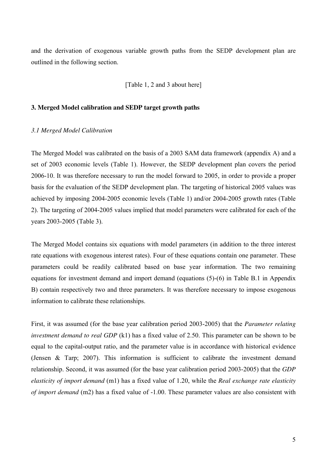and the derivation of exogenous variable growth paths from the SEDP development plan are outlined in the following section.

[Table 1, 2 and 3 about here]

#### **3. Merged Model calibration and SEDP target growth paths**

#### *3.1 Merged Model Calibration*

The Merged Model was calibrated on the basis of a 2003 SAM data framework (appendix A) and a set of 2003 economic levels (Table 1). However, the SEDP development plan covers the period 2006-10. It was therefore necessary to run the model forward to 2005, in order to provide a proper basis for the evaluation of the SEDP development plan. The targeting of historical 2005 values was achieved by imposing 2004-2005 economic levels (Table 1) and/or 2004-2005 growth rates (Table 2). The targeting of 2004-2005 values implied that model parameters were calibrated for each of the years 2003-2005 (Table 3).

The Merged Model contains six equations with model parameters (in addition to the three interest rate equations with exogenous interest rates). Four of these equations contain one parameter. These parameters could be readily calibrated based on base year information. The two remaining equations for investment demand and import demand (equations (5)-(6) in Table B.1 in Appendix B) contain respectively two and three parameters. It was therefore necessary to impose exogenous information to calibrate these relationships.

First, it was assumed (for the base year calibration period 2003-2005) that the *Parameter relating investment demand to real GDP* (k1) has a fixed value of 2.50. This parameter can be shown to be equal to the capital-output ratio, and the parameter value is in accordance with historical evidence (Jensen & Tarp; 2007). This information is sufficient to calibrate the investment demand relationship. Second, it was assumed (for the base year calibration period 2003-2005) that the *GDP elasticity of import demand* (m1) has a fixed value of 1.20, while the *Real exchange rate elasticity of import demand* (m2) has a fixed value of -1.00. These parameter values are also consistent with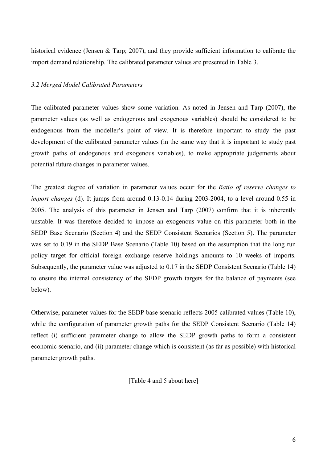historical evidence (Jensen & Tarp; 2007), and they provide sufficient information to calibrate the import demand relationship. The calibrated parameter values are presented in Table 3.

#### *3.2 Merged Model Calibrated Parameters*

The calibrated parameter values show some variation. As noted in Jensen and Tarp (2007), the parameter values (as well as endogenous and exogenous variables) should be considered to be endogenous from the modeller's point of view. It is therefore important to study the past development of the calibrated parameter values (in the same way that it is important to study past growth paths of endogenous and exogenous variables), to make appropriate judgements about potential future changes in parameter values.

The greatest degree of variation in parameter values occur for the *Ratio of reserve changes to import changes* (d). It jumps from around 0.13-0.14 during 2003-2004, to a level around 0.55 in 2005. The analysis of this parameter in Jensen and Tarp (2007) confirm that it is inherently unstable. It was therefore decided to impose an exogenous value on this parameter both in the SEDP Base Scenario (Section 4) and the SEDP Consistent Scenarios (Section 5). The parameter was set to 0.19 in the SEDP Base Scenario (Table 10) based on the assumption that the long run policy target for official foreign exchange reserve holdings amounts to 10 weeks of imports. Subsequently, the parameter value was adjusted to 0.17 in the SEDP Consistent Scenario (Table 14) to ensure the internal consistency of the SEDP growth targets for the balance of payments (see below).

Otherwise, parameter values for the SEDP base scenario reflects 2005 calibrated values (Table 10), while the configuration of parameter growth paths for the SEDP Consistent Scenario (Table 14) reflect (i) sufficient parameter change to allow the SEDP growth paths to form a consistent economic scenario, and (ii) parameter change which is consistent (as far as possible) with historical parameter growth paths.

[Table 4 and 5 about here]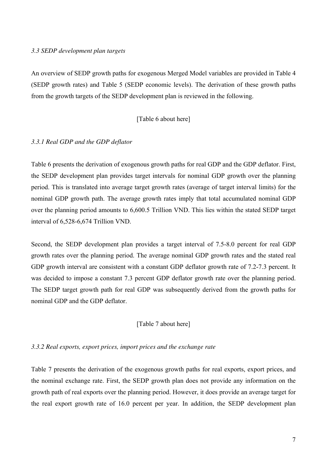#### *3.3 SEDP development plan targets*

An overview of SEDP growth paths for exogenous Merged Model variables are provided in Table 4 (SEDP growth rates) and Table 5 (SEDP economic levels). The derivation of these growth paths from the growth targets of the SEDP development plan is reviewed in the following.

#### [Table 6 about here]

#### *3.3.1 Real GDP and the GDP deflator*

Table 6 presents the derivation of exogenous growth paths for real GDP and the GDP deflator. First, the SEDP development plan provides target intervals for nominal GDP growth over the planning period. This is translated into average target growth rates (average of target interval limits) for the nominal GDP growth path. The average growth rates imply that total accumulated nominal GDP over the planning period amounts to 6,600.5 Trillion VND. This lies within the stated SEDP target interval of 6,528-6,674 Trillion VND.

Second, the SEDP development plan provides a target interval of 7.5-8.0 percent for real GDP growth rates over the planning period. The average nominal GDP growth rates and the stated real GDP growth interval are consistent with a constant GDP deflator growth rate of 7.2-7.3 percent. It was decided to impose a constant 7.3 percent GDP deflator growth rate over the planning period. The SEDP target growth path for real GDP was subsequently derived from the growth paths for nominal GDP and the GDP deflator.

#### [Table 7 about here]

#### *3.3.2 Real exports, export prices, import prices and the exchange rate*

Table 7 presents the derivation of the exogenous growth paths for real exports, export prices, and the nominal exchange rate. First, the SEDP growth plan does not provide any information on the growth path of real exports over the planning period. However, it does provide an average target for the real export growth rate of 16.0 percent per year. In addition, the SEDP development plan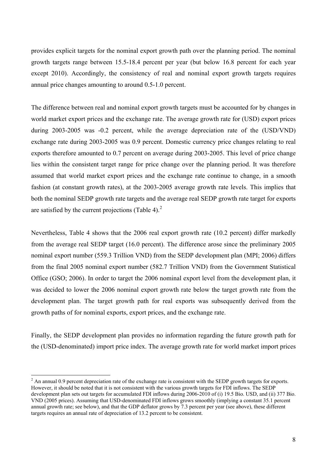provides explicit targets for the nominal export growth path over the planning period. The nominal growth targets range between 15.5-18.4 percent per year (but below 16.8 percent for each year except 2010). Accordingly, the consistency of real and nominal export growth targets requires annual price changes amounting to around 0.5-1.0 percent.

The difference between real and nominal export growth targets must be accounted for by changes in world market export prices and the exchange rate. The average growth rate for (USD) export prices during 2003-2005 was -0.2 percent, while the average depreciation rate of the (USD/VND) exchange rate during 2003-2005 was 0.9 percent. Domestic currency price changes relating to real exports therefore amounted to 0.7 percent on average during 2003-2005. This level of price change lies within the consistent target range for price change over the planning period. It was therefore assumed that world market export prices and the exchange rate continue to change, in a smooth fashion (at constant growth rates), at the 2003-2005 average growth rate levels. This implies that both the nominal SEDP growth rate targets and the average real SEDP growth rate target for exports are satisfied by the current projections (Table 4). $<sup>2</sup>$ </sup>

Nevertheless, Table 4 shows that the 2006 real export growth rate (10.2 percent) differ markedly from the average real SEDP target (16.0 percent). The difference arose since the preliminary 2005 nominal export number (559.3 Trillion VND) from the SEDP development plan (MPI; 2006) differs from the final 2005 nominal export number (582.7 Trillion VND) from the Government Statistical Office (GSO; 2006). In order to target the 2006 nominal export level from the development plan, it was decided to lower the 2006 nominal export growth rate below the target growth rate from the development plan. The target growth path for real exports was subsequently derived from the growth paths of for nominal exports, export prices, and the exchange rate.

Finally, the SEDP development plan provides no information regarding the future growth path for the (USD-denominated) import price index. The average growth rate for world market import prices

 $\overline{a}$ 

 $2 \text{ An annual } 0.9$  percent depreciation rate of the exchange rate is consistent with the SEDP growth targets for exports. However, it should be noted that it is not consistent with the various growth targets for FDI inflows. The SEDP development plan sets out targets for accumulated FDI inflows during 2006-2010 of (i) 19.5 Bio. USD, and (ii) 377 Bio. VND (2005 prices). Assuming that USD-denominated FDI inflows grows smoothly (implying a constant 35.1 percent annual growth rate; see below), and that the GDP deflator grows by 7.3 percent per year (see above), these different targets requires an annual rate of depreciation of 13.2 percent to be consistent.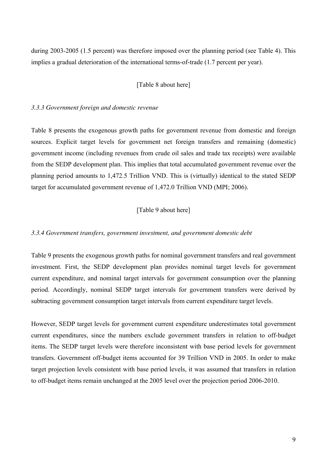during 2003-2005 (1.5 percent) was therefore imposed over the planning period (see Table 4). This implies a gradual deterioration of the international terms-of-trade (1.7 percent per year).

#### [Table 8 about here]

#### *3.3.3 Government foreign and domestic revenue*

Table 8 presents the exogenous growth paths for government revenue from domestic and foreign sources. Explicit target levels for government net foreign transfers and remaining (domestic) government income (including revenues from crude oil sales and trade tax receipts) were available from the SEDP development plan. This implies that total accumulated government revenue over the planning period amounts to 1,472.5 Trillion VND. This is (virtually) identical to the stated SEDP target for accumulated government revenue of 1,472.0 Trillion VND (MPI; 2006).

#### [Table 9 about here]

#### *3.3.4 Government transfers, government investment, and government domestic debt*

Table 9 presents the exogenous growth paths for nominal government transfers and real government investment. First, the SEDP development plan provides nominal target levels for government current expenditure, and nominal target intervals for government consumption over the planning period. Accordingly, nominal SEDP target intervals for government transfers were derived by subtracting government consumption target intervals from current expenditure target levels.

However, SEDP target levels for government current expenditure underestimates total government current expenditures, since the numbers exclude government transfers in relation to off-budget items. The SEDP target levels were therefore inconsistent with base period levels for government transfers. Government off-budget items accounted for 39 Trillion VND in 2005. In order to make target projection levels consistent with base period levels, it was assumed that transfers in relation to off-budget items remain unchanged at the 2005 level over the projection period 2006-2010.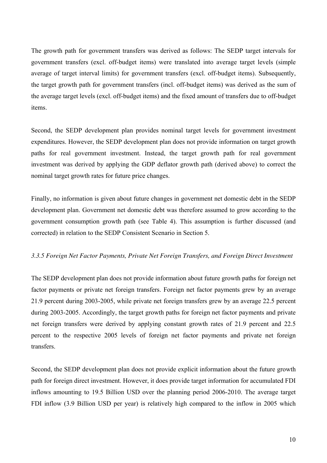The growth path for government transfers was derived as follows: The SEDP target intervals for government transfers (excl. off-budget items) were translated into average target levels (simple average of target interval limits) for government transfers (excl. off-budget items). Subsequently, the target growth path for government transfers (incl. off-budget items) was derived as the sum of the average target levels (excl. off-budget items) and the fixed amount of transfers due to off-budget items.

Second, the SEDP development plan provides nominal target levels for government investment expenditures. However, the SEDP development plan does not provide information on target growth paths for real government investment. Instead, the target growth path for real government investment was derived by applying the GDP deflator growth path (derived above) to correct the nominal target growth rates for future price changes.

Finally, no information is given about future changes in government net domestic debt in the SEDP development plan. Government net domestic debt was therefore assumed to grow according to the government consumption growth path (see Table 4). This assumption is further discussed (and corrected) in relation to the SEDP Consistent Scenario in Section 5.

#### *3.3.5 Foreign Net Factor Payments, Private Net Foreign Transfers, and Foreign Direct Investment*

The SEDP development plan does not provide information about future growth paths for foreign net factor payments or private net foreign transfers. Foreign net factor payments grew by an average 21.9 percent during 2003-2005, while private net foreign transfers grew by an average 22.5 percent during 2003-2005. Accordingly, the target growth paths for foreign net factor payments and private net foreign transfers were derived by applying constant growth rates of 21.9 percent and 22.5 percent to the respective 2005 levels of foreign net factor payments and private net foreign transfers.

Second, the SEDP development plan does not provide explicit information about the future growth path for foreign direct investment. However, it does provide target information for accumulated FDI inflows amounting to 19.5 Billion USD over the planning period 2006-2010. The average target FDI inflow (3.9 Billion USD per year) is relatively high compared to the inflow in 2005 which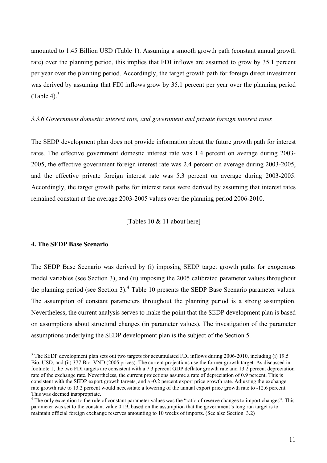amounted to 1.45 Billion USD (Table 1). Assuming a smooth growth path (constant annual growth rate) over the planning period, this implies that FDI inflows are assumed to grow by 35.1 percent per year over the planning period. Accordingly, the target growth path for foreign direct investment was derived by assuming that FDI inflows grow by 35.1 percent per year over the planning period (Table 4). $3$ 

#### *3.3.6 Government domestic interest rate, and government and private foreign interest rates*

The SEDP development plan does not provide information about the future growth path for interest rates. The effective government domestic interest rate was 1.4 percent on average during 2003- 2005, the effective government foreign interest rate was 2.4 percent on average during 2003-2005, and the effective private foreign interest rate was 5.3 percent on average during 2003-2005. Accordingly, the target growth paths for interest rates were derived by assuming that interest rates remained constant at the average 2003-2005 values over the planning period 2006-2010.

[Tables 10 & 11 about here]

#### **4. The SEDP Base Scenario**

 $\overline{a}$ 

The SEDP Base Scenario was derived by (i) imposing SEDP target growth paths for exogenous model variables (see Section 3), and (ii) imposing the 2005 calibrated parameter values throughout the planning period (see Section 3).<sup>4</sup> Table 10 presents the SEDP Base Scenario parameter values. The assumption of constant parameters throughout the planning period is a strong assumption. Nevertheless, the current analysis serves to make the point that the SEDP development plan is based on assumptions about structural changes (in parameter values). The investigation of the parameter assumptions underlying the SEDP development plan is the subject of the Section 5.

 $3$  The SEDP development plan sets out two targets for accumulated FDI inflows during 2006-2010, including (i) 19.5 Bio. USD, and (ii) 377 Bio. VND (2005 prices). The current projections use the former growth target. As discussed in footnote 1, the two FDI targets are consistent with a 7.3 percent GDP deflator growth rate and 13.2 percent depreciation rate of the exchange rate. Nevertheless, the current projections assume a rate of depreciation of 0.9 percent. This is consistent with the SEDP export growth targets, and a -0.2 percent export price growth rate. Adjusting the exchange rate growth rate to 13.2 percent would necessitate a lowering of the annual export price growth rate to -12.6 percent. This was deemed inappropriate.

<sup>&</sup>lt;sup>4</sup> The only exception to the rule of constant parameter values was the "ratio of reserve changes to import changes". This parameter was set to the constant value 0.19, based on the assumption that the government's long run target is to maintain official foreign exchange reserves amounting to 10 weeks of imports. (See also Section 3.2)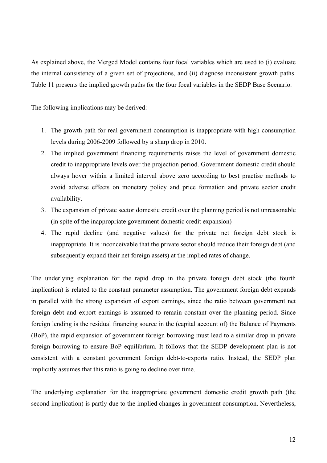As explained above, the Merged Model contains four focal variables which are used to (i) evaluate the internal consistency of a given set of projections, and (ii) diagnose inconsistent growth paths. Table 11 presents the implied growth paths for the four focal variables in the SEDP Base Scenario.

The following implications may be derived:

- 1. The growth path for real government consumption is inappropriate with high consumption levels during 2006-2009 followed by a sharp drop in 2010.
- 2. The implied government financing requirements raises the level of government domestic credit to inappropriate levels over the projection period. Government domestic credit should always hover within a limited interval above zero according to best practise methods to avoid adverse effects on monetary policy and price formation and private sector credit availability.
- 3. The expansion of private sector domestic credit over the planning period is not unreasonable (in spite of the inappropriate government domestic credit expansion)
- 4. The rapid decline (and negative values) for the private net foreign debt stock is inappropriate. It is inconceivable that the private sector should reduce their foreign debt (and subsequently expand their net foreign assets) at the implied rates of change.

The underlying explanation for the rapid drop in the private foreign debt stock (the fourth implication) is related to the constant parameter assumption. The government foreign debt expands in parallel with the strong expansion of export earnings, since the ratio between government net foreign debt and export earnings is assumed to remain constant over the planning period. Since foreign lending is the residual financing source in the (capital account of) the Balance of Payments (BoP), the rapid expansion of government foreign borrowing must lead to a similar drop in private foreign borrowing to ensure BoP equilibrium. It follows that the SEDP development plan is not consistent with a constant government foreign debt-to-exports ratio. Instead, the SEDP plan implicitly assumes that this ratio is going to decline over time.

The underlying explanation for the inappropriate government domestic credit growth path (the second implication) is partly due to the implied changes in government consumption. Nevertheless,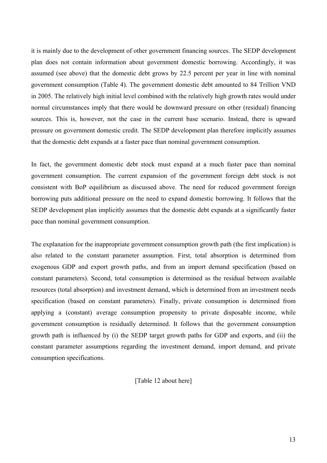it is mainly due to the development of other government financing sources. The SEDP development plan does not contain information about government domestic borrowing. Accordingly, it was assumed (see above) that the domestic debt grows by 22.5 percent per year in line with nominal government consumption (Table 4). The government domestic debt amounted to 84 Trillion VND in 2005. The relatively high initial level combined with the relatively high growth rates would under normal circumstances imply that there would be downward pressure on other (residual) financing sources. This is, however, not the case in the current base scenario. Instead, there is upward pressure on government domestic credit. The SEDP development plan therefore implicitly assumes that the domestic debt expands at a faster pace than nominal government consumption.

In fact, the government domestic debt stock must expand at a much faster pace than nominal government consumption. The current expansion of the government foreign debt stock is not consistent with BoP equilibrium as discussed above. The need for reduced government foreign borrowing puts additional pressure on the need to expand domestic borrowing. It follows that the SEDP development plan implicitly assumes that the domestic debt expands at a significantly faster pace than nominal government consumption.

The explanation for the inappropriate government consumption growth path (the first implication) is also related to the constant parameter assumption. First, total absorption is determined from exogenous GDP and export growth paths, and from an import demand specification (based on constant parameters). Second, total consumption is determined as the residual between available resources (total absorption) and investment demand, which is determined from an investment needs specification (based on constant parameters). Finally, private consumption is determined from applying a (constant) average consumption propensity to private disposable income, while government consumption is residually determined. It follows that the government consumption growth path is influenced by (i) the SEDP target growth paths for GDP and exports, and (ii) the constant parameter assumptions regarding the investment demand, import demand, and private consumption specifications.

[Table 12 about here]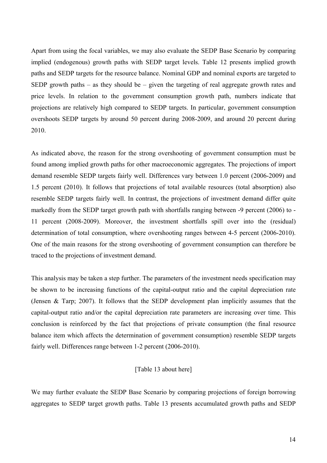Apart from using the focal variables, we may also evaluate the SEDP Base Scenario by comparing implied (endogenous) growth paths with SEDP target levels. Table 12 presents implied growth paths and SEDP targets for the resource balance. Nominal GDP and nominal exports are targeted to SEDP growth paths – as they should be – given the targeting of real aggregate growth rates and price levels. In relation to the government consumption growth path, numbers indicate that projections are relatively high compared to SEDP targets. In particular, government consumption overshoots SEDP targets by around 50 percent during 2008-2009, and around 20 percent during 2010.

As indicated above, the reason for the strong overshooting of government consumption must be found among implied growth paths for other macroeconomic aggregates. The projections of import demand resemble SEDP targets fairly well. Differences vary between 1.0 percent (2006-2009) and 1.5 percent (2010). It follows that projections of total available resources (total absorption) also resemble SEDP targets fairly well. In contrast, the projections of investment demand differ quite markedly from the SEDP target growth path with shortfalls ranging between -9 percent (2006) to - 11 percent (2008-2009). Moreover, the investment shortfalls spill over into the (residual) determination of total consumption, where overshooting ranges between 4-5 percent (2006-2010). One of the main reasons for the strong overshooting of government consumption can therefore be traced to the projections of investment demand.

This analysis may be taken a step further. The parameters of the investment needs specification may be shown to be increasing functions of the capital-output ratio and the capital depreciation rate (Jensen & Tarp; 2007). It follows that the SEDP development plan implicitly assumes that the capital-output ratio and/or the capital depreciation rate parameters are increasing over time. This conclusion is reinforced by the fact that projections of private consumption (the final resource balance item which affects the determination of government consumption) resemble SEDP targets fairly well. Differences range between 1-2 percent (2006-2010).

#### [Table 13 about here]

We may further evaluate the SEDP Base Scenario by comparing projections of foreign borrowing aggregates to SEDP target growth paths. Table 13 presents accumulated growth paths and SEDP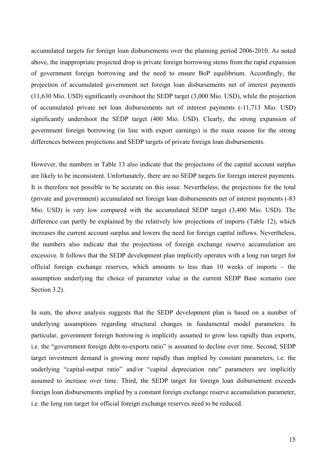accumulated targets for foreign loan disbursements over the planning period 2006-2010. As noted above, the inappropriate projected drop in private foreign borrowing stems from the rapid expansion of government foreign borrowing and the need to ensure BoP equilibrium. Accordingly, the projection of accumulated government net foreign loan disbursements net of interest payments (11,630 Mio. USD) significantly overshoot the SEDP target (3,000 Mio. USD), while the projection of accumulated private net loan disbursements net of interest payments (-11,713 Mio. USD) significantly undershoot the SEDP target (400 Mio. USD). Clearly, the strong expansion of government foreign borrowing (in line with export earnings) is the main reason for the strong differences between projections and SEDP targets of private foreign loan disbursements.

However, the numbers in Table 13 also indicate that the projections of the capital account surplus are likely to be inconsistent. Unfortunately, there are no SEDP targets for foreign interest payments. It is therefore not possible to be accurate on this issue. Nevertheless, the projections for the total (private and government) accumulated net foreign loan disbursements net of interest payments (-83 Mio. USD) is very low compared with the accumulated SEDP target (3,400 Mio. USD). The difference can partly be explained by the relatively low projections of imports (Table 12), which increases the current account surplus and lowers the need for foreign capital inflows. Nevertheless, the numbers also indicate that the projections of foreign exchange reserve accumulation are excessive. It follows that the SEDP development plan implicitly operates with a long run target for official foreign exchange reserves, which amounts to less than 10 weeks of imports – the assumption underlying the choice of parameter value in the current SEDP Base scenario (see Section 3.2).

In sum, the above analysis suggests that the SEDP development plan is based on a number of underlying assumptions regarding structural changes in fundamental model parameters. In particular, government foreign borrowing is implicitly assumed to grow less rapidly than exports, i.e. the "government foreign debt-to-exports ratio" is assumed to decline over time. Second, SEDP target investment demand is growing more rapidly than implied by constant parameters, i.e. the underlying "capital-output ratio" and/or "capital depreciation rate" parameters are implicitly assumed to increase over time. Third, the SEDP target for foreign loan disbursement exceeds foreign loan disbursements implied by a constant foreign exchange reserve accumulation parameter, i.e. the long run target for official foreign exchange reserves need to be reduced.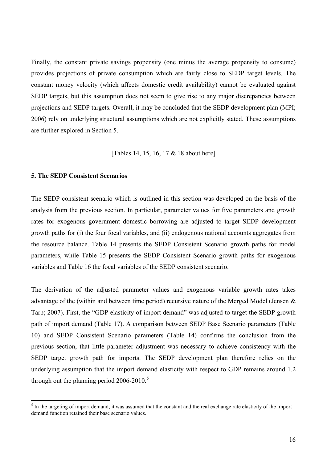Finally, the constant private savings propensity (one minus the average propensity to consume) provides projections of private consumption which are fairly close to SEDP target levels. The constant money velocity (which affects domestic credit availability) cannot be evaluated against SEDP targets, but this assumption does not seem to give rise to any major discrepancies between projections and SEDP targets. Overall, it may be concluded that the SEDP development plan (MPI; 2006) rely on underlying structural assumptions which are not explicitly stated. These assumptions are further explored in Section 5.

#### [Tables 14, 15, 16, 17 & 18 about here]

#### **5. The SEDP Consistent Scenarios**

The SEDP consistent scenario which is outlined in this section was developed on the basis of the analysis from the previous section. In particular, parameter values for five parameters and growth rates for exogenous government domestic borrowing are adjusted to target SEDP development growth paths for (i) the four focal variables, and (ii) endogenous national accounts aggregates from the resource balance. Table 14 presents the SEDP Consistent Scenario growth paths for model parameters, while Table 15 presents the SEDP Consistent Scenario growth paths for exogenous variables and Table 16 the focal variables of the SEDP consistent scenario.

The derivation of the adjusted parameter values and exogenous variable growth rates takes advantage of the (within and between time period) recursive nature of the Merged Model (Jensen & Tarp; 2007). First, the "GDP elasticity of import demand" was adjusted to target the SEDP growth path of import demand (Table 17). A comparison between SEDP Base Scenario parameters (Table 10) and SEDP Consistent Scenario parameters (Table 14) confirms the conclusion from the previous section, that little parameter adjustment was necessary to achieve consistency with the SEDP target growth path for imports. The SEDP development plan therefore relies on the underlying assumption that the import demand elasticity with respect to GDP remains around 1.2 through out the planning period  $2006-2010$ .<sup>5</sup>

<sup>&</sup>lt;sup>5</sup> In the targeting of import demand, it was assumed that the constant and the real exchange rate elasticity of the import demand function retained their base scenario values.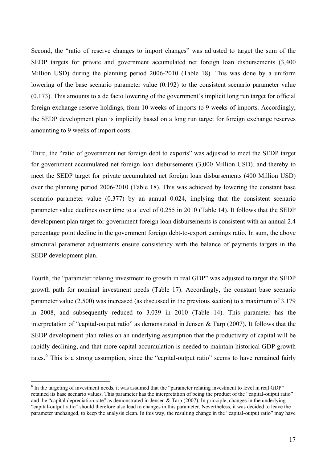Second, the "ratio of reserve changes to import changes" was adjusted to target the sum of the SEDP targets for private and government accumulated net foreign loan disbursements (3,400 Million USD) during the planning period 2006-2010 (Table 18). This was done by a uniform lowering of the base scenario parameter value (0.192) to the consistent scenario parameter value (0.173). This amounts to a de facto lowering of the government's implicit long run target for official foreign exchange reserve holdings, from 10 weeks of imports to 9 weeks of imports. Accordingly, the SEDP development plan is implicitly based on a long run target for foreign exchange reserves amounting to 9 weeks of import costs.

Third, the "ratio of government net foreign debt to exports" was adjusted to meet the SEDP target for government accumulated net foreign loan disbursements (3,000 Million USD), and thereby to meet the SEDP target for private accumulated net foreign loan disbursements (400 Million USD) over the planning period 2006-2010 (Table 18). This was achieved by lowering the constant base scenario parameter value (0.377) by an annual 0.024, implying that the consistent scenario parameter value declines over time to a level of 0.255 in 2010 (Table 14). It follows that the SEDP development plan target for government foreign loan disbursements is consistent with an annual 2.4 percentage point decline in the government foreign debt-to-export earnings ratio. In sum, the above structural parameter adjustments ensure consistency with the balance of payments targets in the SEDP development plan.

Fourth, the "parameter relating investment to growth in real GDP" was adjusted to target the SEDP growth path for nominal investment needs (Table 17). Accordingly, the constant base scenario parameter value (2.500) was increased (as discussed in the previous section) to a maximum of 3.179 in 2008, and subsequently reduced to 3.039 in 2010 (Table 14). This parameter has the interpretation of "capital-output ratio" as demonstrated in Jensen & Tarp (2007). It follows that the SEDP development plan relies on an underlying assumption that the productivity of capital will be rapidly declining, and that more capital accumulation is needed to maintain historical GDP growth rates.<sup>6</sup> This is a strong assumption, since the "capital-output ratio" seems to have remained fairly

 $\overline{a}$ 

<sup>&</sup>lt;sup>6</sup> In the targeting of investment needs, it was assumed that the "parameter relating investment to level in real GDP" retained its base scenario values. This parameter has the interpretation of being the product of the "capital-output ratio" and the "capital depreciation rate" as demonstrated in Jensen  $\&$  Tarp (2007). In principle, changes in the underlying "capital-output ratio" should therefore also lead to changes in this parameter. Nevertheless, it was decided to leave the parameter unchanged, to keep the analysis clean. In this way, the resulting change in the "capital-output ratio" may have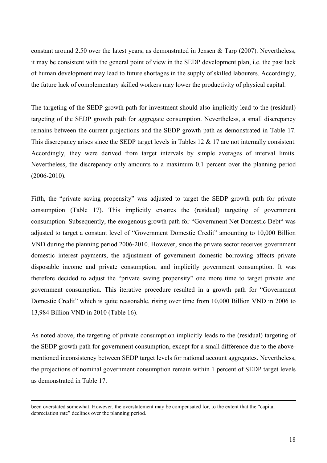constant around 2.50 over the latest years, as demonstrated in Jensen & Tarp (2007). Nevertheless, it may be consistent with the general point of view in the SEDP development plan, i.e. the past lack of human development may lead to future shortages in the supply of skilled labourers. Accordingly, the future lack of complementary skilled workers may lower the productivity of physical capital.

The targeting of the SEDP growth path for investment should also implicitly lead to the (residual) targeting of the SEDP growth path for aggregate consumption. Nevertheless, a small discrepancy remains between the current projections and the SEDP growth path as demonstrated in Table 17. This discrepancy arises since the SEDP target levels in Tables 12 & 17 are not internally consistent. Accordingly, they were derived from target intervals by simple averages of interval limits. Nevertheless, the discrepancy only amounts to a maximum 0.1 percent over the planning period (2006-2010).

Fifth, the "private saving propensity" was adjusted to target the SEDP growth path for private consumption (Table 17). This implicitly ensures the (residual) targeting of government consumption. Subsequently, the exogenous growth path for "Government Net Domestic Debt" was adjusted to target a constant level of "Government Domestic Credit" amounting to 10,000 Billion VND during the planning period 2006-2010. However, since the private sector receives government domestic interest payments, the adjustment of government domestic borrowing affects private disposable income and private consumption, and implicitly government consumption. It was therefore decided to adjust the "private saving propensity" one more time to target private and government consumption. This iterative procedure resulted in a growth path for "Government Domestic Credit" which is quite reasonable, rising over time from 10,000 Billion VND in 2006 to 13,984 Billion VND in 2010 (Table 16).

As noted above, the targeting of private consumption implicitly leads to the (residual) targeting of the SEDP growth path for government consumption, except for a small difference due to the abovementioned inconsistency between SEDP target levels for national account aggregates. Nevertheless, the projections of nominal government consumption remain within 1 percent of SEDP target levels as demonstrated in Table 17.

 $\overline{a}$ 

been overstated somewhat. However, the overstatement may be compensated for, to the extent that the "capital depreciation rate" declines over the planning period.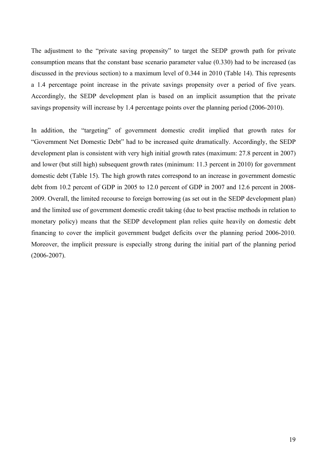The adjustment to the "private saving propensity" to target the SEDP growth path for private consumption means that the constant base scenario parameter value (0.330) had to be increased (as discussed in the previous section) to a maximum level of 0.344 in 2010 (Table 14). This represents a 1.4 percentage point increase in the private savings propensity over a period of five years. Accordingly, the SEDP development plan is based on an implicit assumption that the private savings propensity will increase by 1.4 percentage points over the planning period (2006-2010).

In addition, the "targeting" of government domestic credit implied that growth rates for "Government Net Domestic Debt" had to be increased quite dramatically. Accordingly, the SEDP development plan is consistent with very high initial growth rates (maximum: 27.8 percent in 2007) and lower (but still high) subsequent growth rates (minimum: 11.3 percent in 2010) for government domestic debt (Table 15). The high growth rates correspond to an increase in government domestic debt from 10.2 percent of GDP in 2005 to 12.0 percent of GDP in 2007 and 12.6 percent in 2008- 2009. Overall, the limited recourse to foreign borrowing (as set out in the SEDP development plan) and the limited use of government domestic credit taking (due to best practise methods in relation to monetary policy) means that the SEDP development plan relies quite heavily on domestic debt financing to cover the implicit government budget deficits over the planning period 2006-2010. Moreover, the implicit pressure is especially strong during the initial part of the planning period (2006-2007).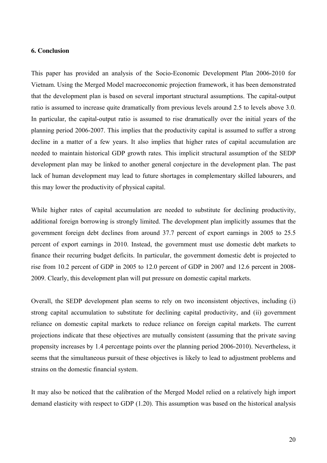#### **6. Conclusion**

This paper has provided an analysis of the Socio-Economic Development Plan 2006-2010 for Vietnam. Using the Merged Model macroeconomic projection framework, it has been demonstrated that the development plan is based on several important structural assumptions. The capital-output ratio is assumed to increase quite dramatically from previous levels around 2.5 to levels above 3.0. In particular, the capital-output ratio is assumed to rise dramatically over the initial years of the planning period 2006-2007. This implies that the productivity capital is assumed to suffer a strong decline in a matter of a few years. It also implies that higher rates of capital accumulation are needed to maintain historical GDP growth rates. This implicit structural assumption of the SEDP development plan may be linked to another general conjecture in the development plan. The past lack of human development may lead to future shortages in complementary skilled labourers, and this may lower the productivity of physical capital.

While higher rates of capital accumulation are needed to substitute for declining productivity, additional foreign borrowing is strongly limited. The development plan implicitly assumes that the government foreign debt declines from around 37.7 percent of export earnings in 2005 to 25.5 percent of export earnings in 2010. Instead, the government must use domestic debt markets to finance their recurring budget deficits. In particular, the government domestic debt is projected to rise from 10.2 percent of GDP in 2005 to 12.0 percent of GDP in 2007 and 12.6 percent in 2008- 2009. Clearly, this development plan will put pressure on domestic capital markets.

Overall, the SEDP development plan seems to rely on two inconsistent objectives, including (i) strong capital accumulation to substitute for declining capital productivity, and (ii) government reliance on domestic capital markets to reduce reliance on foreign capital markets. The current projections indicate that these objectives are mutually consistent (assuming that the private saving propensity increases by 1.4 percentage points over the planning period 2006-2010). Nevertheless, it seems that the simultaneous pursuit of these objectives is likely to lead to adjustment problems and strains on the domestic financial system.

It may also be noticed that the calibration of the Merged Model relied on a relatively high import demand elasticity with respect to GDP (1.20). This assumption was based on the historical analysis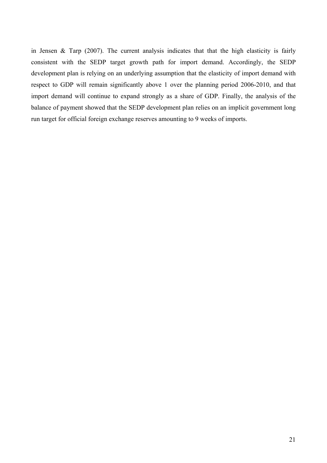in Jensen & Tarp (2007). The current analysis indicates that that the high elasticity is fairly consistent with the SEDP target growth path for import demand. Accordingly, the SEDP development plan is relying on an underlying assumption that the elasticity of import demand with respect to GDP will remain significantly above 1 over the planning period 2006-2010, and that import demand will continue to expand strongly as a share of GDP. Finally, the analysis of the balance of payment showed that the SEDP development plan relies on an implicit government long run target for official foreign exchange reserves amounting to 9 weeks of imports.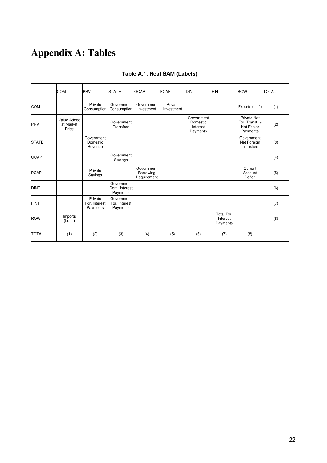# **Appendix A: Tables**

|              | <b>COM</b>                        | PRV                                  | <b>STATE</b>                            | <b>GCAP</b>                            | <b>PCAP</b>           | <b>DINT</b>                                    | <b>FINT</b>                        | <b>ROW</b>                                              | <b>TOTAL</b> |
|--------------|-----------------------------------|--------------------------------------|-----------------------------------------|----------------------------------------|-----------------------|------------------------------------------------|------------------------------------|---------------------------------------------------------|--------------|
| <b>COM</b>   |                                   | Private<br>Consumption               | Government<br>Consumption               | Government<br>Investment               | Private<br>Investment |                                                |                                    | Exports (c.i.f.)                                        | (1)          |
| PRV          | Value Added<br>at Market<br>Price |                                      | Government<br>Transfers                 |                                        |                       | Government<br>Domestic<br>Interest<br>Payments |                                    | Private Net<br>For. Transf. +<br>Net Factor<br>Payments | (2)          |
| <b>STATE</b> |                                   | Government<br>Domestic<br>Revenue    |                                         |                                        |                       |                                                |                                    | Government<br>Net Foreign<br>Transfers                  | (3)          |
| <b>GCAP</b>  |                                   |                                      | Government<br>Savings                   |                                        |                       |                                                |                                    |                                                         | (4)          |
| <b>PCAP</b>  |                                   | Private<br>Savings                   |                                         | Government<br>Borrowing<br>Requirement |                       |                                                |                                    | Current<br>Account<br>Deficit                           | (5)          |
| <b>DINT</b>  |                                   |                                      | Government<br>Dom. Interest<br>Payments |                                        |                       |                                                |                                    |                                                         | (6)          |
| <b>FINT</b>  |                                   | Private<br>For. Interest<br>Payments | Government<br>For. Interest<br>Payments |                                        |                       |                                                |                                    |                                                         | (7)          |
| <b>ROW</b>   | Imports<br>(f.o.b.)               |                                      |                                         |                                        |                       |                                                | Total For.<br>Interest<br>Payments |                                                         | (8)          |
| <b>TOTAL</b> | (1)                               | (2)                                  | (3)                                     | (4)                                    | (5)                   | (6)                                            | (7)                                | (8)                                                     |              |

### **Table A.1. Real SAM (Labels)**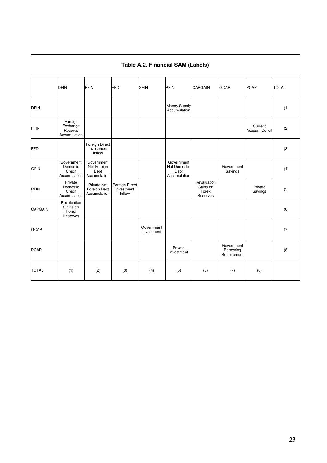|                | <b>DFIN</b>                                      | <b>FFIN</b>                                        | <b>FFDI</b>                            | <b>GFIN</b>              | PFIN                                               | <b>CAPGAIN</b>                               | <b>GCAP</b>                            | <b>PCAP</b>                       | <b>TOTAL</b> |
|----------------|--------------------------------------------------|----------------------------------------------------|----------------------------------------|--------------------------|----------------------------------------------------|----------------------------------------------|----------------------------------------|-----------------------------------|--------------|
| <b>DFIN</b>    |                                                  |                                                    |                                        |                          | Money Supply<br>Accumulation                       |                                              |                                        |                                   | (1)          |
| <b>FFIN</b>    | Foreign<br>Exchange<br>Reserve<br>Accumulation   |                                                    |                                        |                          |                                                    |                                              |                                        | Current<br><b>Account Deficit</b> | (2)          |
| <b>FFDI</b>    |                                                  | Foreign Direct<br>Investment<br>Inflow             |                                        |                          |                                                    |                                              |                                        |                                   | (3)          |
| <b>GFIN</b>    | Government<br>Domestic<br>Credit<br>Accumulation | Government<br>Net Foreign<br>Debt<br>Accumulation  |                                        |                          | Government<br>Net Domestic<br>Debt<br>Accumulation |                                              | Government<br>Savings                  |                                   | (4)          |
| PFIN           | Private<br>Domestic<br>Credit<br>Accumulation    | <b>Private Net</b><br>Foreign Debt<br>Accumulation | Foreign Direct<br>Investment<br>Inflow |                          |                                                    | Revaluation<br>Gains on<br>Forex<br>Reserves |                                        | Private<br>Savings                | (5)          |
| <b>CAPGAIN</b> | Revaluation<br>Gains on<br>Forex<br>Reserves     |                                                    |                                        |                          |                                                    |                                              |                                        |                                   | (6)          |
| <b>GCAP</b>    |                                                  |                                                    |                                        | Government<br>Investment |                                                    |                                              |                                        |                                   | (7)          |
| <b>PCAP</b>    |                                                  |                                                    |                                        |                          | Private<br>Investment                              |                                              | Government<br>Borrowing<br>Requirement |                                   | (8)          |
| <b>TOTAL</b>   | (1)                                              | (2)                                                | (3)                                    | (4)                      | (5)                                                | (6)                                          | (7)                                    | (8)                               |              |

### **Table A.2. Financial SAM (Labels)**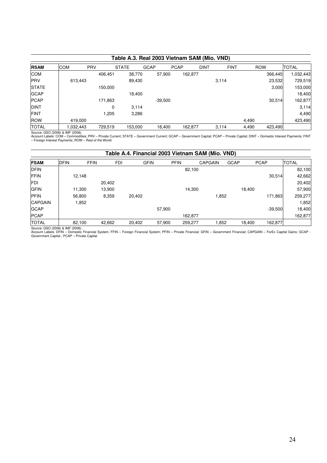|              | Table A.3. Real 2003 Vietnam SAM (Mio. VND) |            |              |             |             |             |             |                  |              |  |  |
|--------------|---------------------------------------------|------------|--------------|-------------|-------------|-------------|-------------|------------------|--------------|--|--|
| <b>RSAM</b>  | <b>COM</b>                                  | <b>PRV</b> | <b>STATE</b> | <b>GCAP</b> | <b>PCAP</b> | <b>DINT</b> | <b>FINT</b> | <b>ROW</b>       | <b>TOTAL</b> |  |  |
| <b>COM</b>   |                                             | 406,451    | 38,770       | 57,900      | 162,877     |             |             | 366,445          | 032,443      |  |  |
| <b>IPRV</b>  | 613,443                                     |            | 89,430       |             |             |             | 3,114       | 23,532           | 729,519      |  |  |
| <b>STATE</b> |                                             | 150,000    |              |             |             |             |             | 3.000            | 153,000      |  |  |
| <b>GCAP</b>  |                                             |            | 18,400       |             |             |             |             |                  | 18,400       |  |  |
| <b>PCAP</b>  |                                             | 171,863    |              | $-39,500$   |             |             |             | 30,514           | 162,877      |  |  |
| <b>DINT</b>  |                                             | 0          | 3,114        |             |             |             |             |                  | 3,114        |  |  |
| <b>FINT</b>  |                                             | 1,205      | 3,286        |             |             |             |             |                  | 4,490        |  |  |
| <b>ROW</b>   | 419.000                                     |            |              |             |             |             |             | 4.490            | 423,490      |  |  |
| <b>TOTAL</b> | 1,032,443                                   | 729,519    | 153,000      | 18,400      | 162,877     |             | 3.114       | 4,490<br>423,490 |              |  |  |

Source: GSO (2006) & IMF (2006).<br>Account Labels: COM – Commodities; PRV – Private Current; STATE – Government Current; GCAP – Government Capital; PCAP – Private Capital; DINT – Domestic Interest Payments; FINT<br>– Foreign In

| Table A.4. Financial 2003 Vietnam SAM (Mio. VND) |             |             |            |        |             |             |         |                |             |        |             |              |
|--------------------------------------------------|-------------|-------------|------------|--------|-------------|-------------|---------|----------------|-------------|--------|-------------|--------------|
| <b>FSAM</b>                                      | <b>DFIN</b> | <b>FFIN</b> | <b>FDI</b> |        | <b>GFIN</b> | <b>PFIN</b> |         | <b>CAPGAIN</b> | <b>GCAP</b> |        | <b>PCAP</b> | <b>TOTAL</b> |
| <b>DFIN</b>                                      |             |             |            |        |             |             | 82,100  |                |             |        |             | 82,100       |
| <b>FFIN</b>                                      |             | 12.148      |            |        |             |             |         |                |             |        | 30.514      | 42,662       |
| <b>FDI</b>                                       |             |             | 20,402     |        |             |             |         |                |             |        |             | 20,402       |
| <b>GFIN</b>                                      |             | 11.300      | 13,900     |        |             |             | 14.300  |                |             | 18.400 |             | 57,900       |
| <b>PFIN</b>                                      |             | 56,800      | 8,359      | 20,402 |             |             |         | 1,852          |             |        | 171.863     | 259,277      |
| <b>CAPGAIN</b>                                   |             | 1,852       |            |        |             |             |         |                |             |        |             | 1,852        |
| <b>GCAP</b>                                      |             |             |            |        |             | 57.900      |         |                |             |        | $-39,500$   | 18,400       |
| <b>PCAP</b>                                      |             |             |            |        |             |             | 162.877 |                |             |        |             | 162,877      |
| <b>TOTAL</b>                                     |             | 82,100      | 42,662     | 20,402 |             | 57,900      | 259,277 | 1,852          |             | 18,400 | 162,877     |              |

Source: GSO (2006) & IMF (2006).<br>Account Labels: DFIN – Domestic Financial System; FFIN – Foreign Financial System; PFIN – Private Financial; GFIN – Government Financial; CAPGAIN – ForEx Capital Gains; GCAP -<br>Government Ca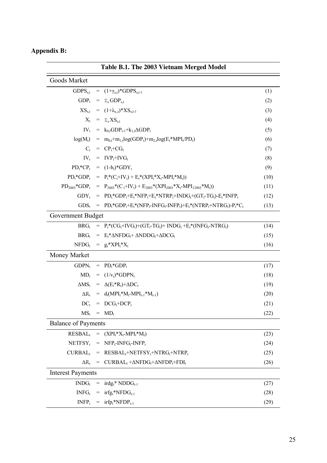### **Appendix B:**  j.

| Table B.1. The 2003 Vietnam Merged Model |  |                                                                                                                                                                                   |      |  |  |  |  |
|------------------------------------------|--|-----------------------------------------------------------------------------------------------------------------------------------------------------------------------------------|------|--|--|--|--|
| Goods Market                             |  |                                                                                                                                                                                   |      |  |  |  |  |
|                                          |  | GDPS <sub>s,t</sub> = $(1+\gamma_{s,t})$ *GDPS <sub>s,t-1</sub>                                                                                                                   | (1)  |  |  |  |  |
|                                          |  | $GDP_t = \Sigma_s GDP_{s,t}$                                                                                                                                                      | (2)  |  |  |  |  |
|                                          |  | $XS_{s,t} = (1+\lambda_{s,t})*XS_{s,t-1}$                                                                                                                                         | (3)  |  |  |  |  |
|                                          |  | $X_t = \Sigma_s X S_{s,t}$                                                                                                                                                        | (4)  |  |  |  |  |
|                                          |  | $IV_t = k_0 t GDP_{t-1} + k_1 t \Delta GDP_t$                                                                                                                                     | (5)  |  |  |  |  |
|                                          |  | $log(M_t) = m_{0,t} + m_{1,t}log(GDP_t) + m_{2,t}log(E_t * MPI_t/PD_t)$                                                                                                           | (6)  |  |  |  |  |
|                                          |  | $C_t = CP_t + CG_t$                                                                                                                                                               | (7)  |  |  |  |  |
|                                          |  | $IV_t$ = $IVP_t+IVG_t$                                                                                                                                                            | (8)  |  |  |  |  |
|                                          |  | $PD_t^*CP_t = (1-b_t)^*GDY_t$                                                                                                                                                     | (9)  |  |  |  |  |
|                                          |  | $PD_t^*GDP_t = P_t^*(C_t+IV_t) + E_t^*(XPI_t^*X_t-MPI_t^*M_t))$                                                                                                                   | (10) |  |  |  |  |
|                                          |  | $PD_{2003}$ *GDP <sub>t</sub> = $P_{2003}$ *(C <sub>t</sub> +IV <sub>t</sub> ) + E <sub>2003</sub> *(XPI <sub>2003</sub> *X <sub>t</sub> -MPI <sub>12003</sub> *M <sub>t</sub> )) | (11) |  |  |  |  |
|                                          |  | $GDY_t = PD_t*GDP_t+E_t*NFP_t+E_t*NTRP_t+INDG_t+(GT_t-TG_t)-E_t*INFP_t$                                                                                                           | (12) |  |  |  |  |
|                                          |  | $GDS_t$ = $PD_t^*GDP_t + E_t^*(NFP_t\text{-}INFG_t\text{-}INFP_t) + E_t^*(NTRP_t + NTRG_t)\text{-}P_t^*C_t$                                                                       | (13) |  |  |  |  |
| Government Budget                        |  |                                                                                                                                                                                   |      |  |  |  |  |
|                                          |  | $BRG_t = P_t * (CG_t + IVG_t) + (GT_t - TG_t) + INDG_t + E_t * (INFG_t - NTRG_t)$                                                                                                 | (14) |  |  |  |  |
|                                          |  | $BRG_t = E_t^* \Delta NFDG_t + \Delta NDDG_t + \Delta DCG_t$                                                                                                                      | (15) |  |  |  |  |
|                                          |  | $NFDG_t = g_t * XPI_t * X_t$                                                                                                                                                      | (16) |  |  |  |  |
| Money Market                             |  |                                                                                                                                                                                   |      |  |  |  |  |
|                                          |  | $GDPN_t = PD_t * GDP_t$                                                                                                                                                           | (17) |  |  |  |  |
|                                          |  | $MD_t = (1/v_t)^*GDPN_t$                                                                                                                                                          | (18) |  |  |  |  |
|                                          |  | $\Delta MS_t = \Delta (E_t^* R_t) + \Delta DC_t$                                                                                                                                  | (19) |  |  |  |  |
|                                          |  | $\Delta R_t = d_t(MPI_t * M_t-MPI_{t-1} * M_{t-1})$                                                                                                                               | (20) |  |  |  |  |
|                                          |  | $DC_t$ = $DCG_t + DCP_t$                                                                                                                                                          | (21) |  |  |  |  |
|                                          |  | $MS_t$ = $MD_t$                                                                                                                                                                   | (22) |  |  |  |  |
| <b>Balance of Payments</b>               |  |                                                                                                                                                                                   |      |  |  |  |  |
|                                          |  | $RESBAL_t = (XPI_t * X_t - MPI_t * M_t)$                                                                                                                                          | (23) |  |  |  |  |
|                                          |  | $NETFSY_t = NFP_t-NFG_t-INFP_t$                                                                                                                                                   | (24) |  |  |  |  |
|                                          |  | $CURBAL_t$ = $RESBAL_t + NETFSY_t + NTRG_t + NTRP_t$                                                                                                                              | (25) |  |  |  |  |
| $\Delta R_{t}$                           |  | = $CURBAL_t + \Delta NFDG_t + \Delta NFDP_t + FDI_t$                                                                                                                              | (26) |  |  |  |  |
| <b>Interest Payments</b>                 |  |                                                                                                                                                                                   |      |  |  |  |  |
|                                          |  | $INDG_t$ = $irdg_t * NDDG_{t-1}$                                                                                                                                                  | (27) |  |  |  |  |
|                                          |  | $INFG_t$ = $irfg_t * NFDG_{t-1}$                                                                                                                                                  | (28) |  |  |  |  |
|                                          |  | $INFP_t = irfp_t * NFDP_{t-1}$                                                                                                                                                    | (29) |  |  |  |  |
|                                          |  |                                                                                                                                                                                   |      |  |  |  |  |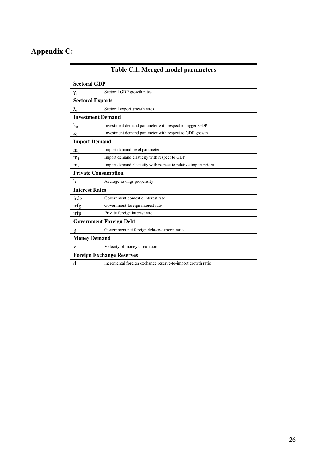### **Appendix C:**

| <b>Sectoral GDP</b>        |                                                                 |
|----------------------------|-----------------------------------------------------------------|
| $\gamma_{\rm s}$           | Sectoral GDP growth rates                                       |
| <b>Sectoral Exports</b>    |                                                                 |
| $\lambda_{\rm s}$          | Sectoral export growth rates                                    |
| <b>Investment Demand</b>   |                                                                 |
| $k_0$                      | Investment demand parameter with respect to lagged GDP          |
| $k_1$                      | Investment demand parameter with respect to GDP growth          |
| <b>Import Demand</b>       |                                                                 |
| m <sub>0</sub>             | Import demand level parameter                                   |
| m <sub>1</sub>             | Import demand elasticity with respect to GDP                    |
| m <sub>2</sub>             | Import demand elasticity with respect to relative import prices |
| <b>Private Consumption</b> |                                                                 |
| b                          | Average savings propensity                                      |
| <b>Interest Rates</b>      |                                                                 |
| irdg                       | Government domestic interest rate                               |
| irfg                       | Government foreign interest rate                                |
| irfp                       | Private foreign interest rate                                   |
|                            | <b>Government Foreign Debt</b>                                  |
| g                          | Government net foreign debt-to-exports ratio                    |
| <b>Money Demand</b>        |                                                                 |
| V                          | Velocity of money circulation                                   |
|                            | <b>Foreign Exchange Reserves</b>                                |
| d                          | incremental foreign exchange reserve-to-import growth ratio     |

**Table C.1. Merged model parameters**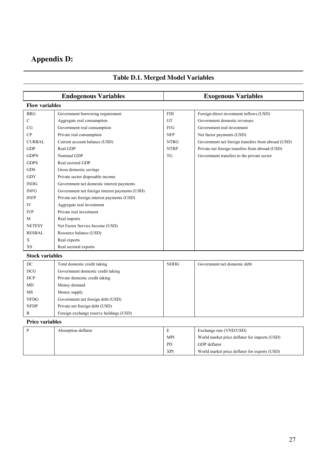### **Appendix D:**

|                       | <b>Endogenous Variables</b>                    |             | <b>Exogenous Variables</b>                         |
|-----------------------|------------------------------------------------|-------------|----------------------------------------------------|
| <b>Flow variables</b> |                                                |             |                                                    |
| <b>BRG</b>            | Government borrowing requirement               | <b>FDI</b>  | Foreign direct investment inflows (USD)            |
| C                     | Aggregate real consumption                     | <b>GT</b>   | Government domestic revenues                       |
| CG                    | Government real consumption                    | <b>IVG</b>  | Government real investment                         |
| CP                    | Private real consumption                       | <b>NFP</b>  | Net factor payments (USD)                          |
| <b>CURBAL</b>         | Current account balance (USD)                  | <b>NTRG</b> | Government net foreign transfers from abroad (USD) |
| <b>GDP</b>            | Real GDP                                       | <b>NTRP</b> | Private net foreign transfers from abroad (USD)    |
| <b>GDPN</b>           | Nominal GDP                                    | <b>TG</b>   | Government transfers to the private sector         |
| <b>GDPS</b>           | Real sectoral GDP                              |             |                                                    |
| <b>GDS</b>            | Gross domestic savings                         |             |                                                    |
| <b>GDY</b>            | Private sector disposable income               |             |                                                    |
| <b>INDG</b>           | Government net domestic interest payments      |             |                                                    |
| <b>INFG</b>           | Government net foreign interest payments (USD) |             |                                                    |
| <b>INFP</b>           | Private net foreign interest payments (USD)    |             |                                                    |
| IV                    | Aggregate real investment                      |             |                                                    |
| <b>IVP</b>            | Private real investment                        |             |                                                    |
| M                     | Real imports                                   |             |                                                    |
| <b>NETFSY</b>         | Net Factor Service Income (USD)                |             |                                                    |
| <b>RESBAL</b>         | Resource balance (USD)                         |             |                                                    |
| X                     | Real exports                                   |             |                                                    |
| XS                    | Real sectoral exports                          |             |                                                    |

### **Table D.1. Merged Model Variables**

**Stock variables** 

| DC          | Total domestic credit taking            | <b>NDDG</b> | Government net domestic debt |
|-------------|-----------------------------------------|-------------|------------------------------|
| DCG         | Government domestic credit taking       |             |                              |
| <b>DCP</b>  | Private domestic credit taking          |             |                              |
| MD          | Money demand                            |             |                              |
| MS          | Money supply                            |             |                              |
| <b>NFDG</b> | Government net foreign debt (USD)       |             |                              |
| <b>NFDP</b> | Private net foreign debt (USD)          |             |                              |
| R           | Foreign exchange reserve holdings (USD) |             |                              |

**Price variables** 

| Absorption deflator | г.         | Exchange rate (VND/USD)                       |
|---------------------|------------|-----------------------------------------------|
|                     | <b>MPI</b> | World market price deflator for imports (USD) |
|                     | PD         | GDP deflator                                  |
|                     | <b>XPI</b> | World market price deflator for exports (USD) |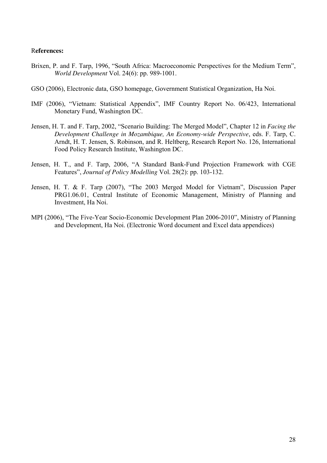#### R**eferences:**

- Brixen, P. and F. Tarp, 1996, "South Africa: Macroeconomic Perspectives for the Medium Term", *World Development* Vol. 24(6): pp. 989-1001.
- GSO (2006), Electronic data, GSO homepage, Government Statistical Organization, Ha Noi.
- IMF (2006), "Vietnam: Statistical Appendix", IMF Country Report No. 06/423, International Monetary Fund, Washington DC.
- Jensen, H. T. and F. Tarp, 2002, "Scenario Building: The Merged Model", Chapter 12 in *Facing the Development Challenge in Mozambique, An Economy-wide Perspective*, eds. F. Tarp, C. Arndt, H. T. Jensen, S. Robinson, and R. Heltberg, Research Report No. 126, International Food Policy Research Institute, Washington DC.
- Jensen, H. T., and F. Tarp, 2006, "A Standard Bank-Fund Projection Framework with CGE Features", *Journal of Policy Modelling* Vol. 28(2): pp. 103-132.
- Jensen, H. T. & F. Tarp (2007), "The 2003 Merged Model for Vietnam", Discussion Paper PRG1.06.01, Central Institute of Economic Management, Ministry of Planning and Investment, Ha Noi.
- MPI (2006), "The Five-Year Socio-Economic Development Plan 2006-2010", Ministry of Planning and Development, Ha Noi. (Electronic Word document and Excel data appendices)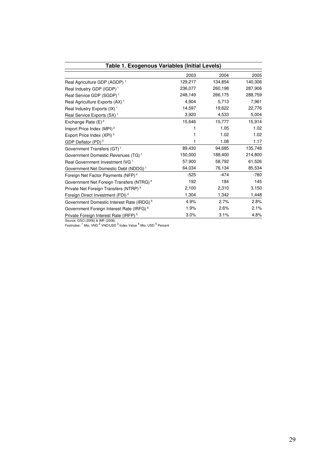| Table 1. Exogenous Variables (Initial Levels)         |         |         |         |  |  |  |  |  |
|-------------------------------------------------------|---------|---------|---------|--|--|--|--|--|
|                                                       | 2003    | 2004    | 2005    |  |  |  |  |  |
| Real Agriculture GDP (AGDP) <sup>1</sup>              | 129,217 | 134,854 | 140,306 |  |  |  |  |  |
| Real Industry GDP (IGDP) <sup>1</sup>                 | 236,077 | 260,198 | 287,906 |  |  |  |  |  |
| Real Service GDP (SGDP) <sup>1</sup>                  | 248,149 | 266,175 | 288,759 |  |  |  |  |  |
| Real Agriculture Exports (AX) <sup>1</sup>            | 4.904   | 5.713   | 7,961   |  |  |  |  |  |
| Real Industry Exports $(IX)^1$                        | 14,597  | 19,622  | 22,776  |  |  |  |  |  |
| Real Service Exports (SX) <sup>1</sup>                | 3,920   | 4,533   | 5,004   |  |  |  |  |  |
| Exchange Rate $(E)^2$                                 | 15,646  | 15,777  | 15,914  |  |  |  |  |  |
| Import Price Index (MPI) <sup>3</sup>                 |         | 1.05    | 1.02    |  |  |  |  |  |
| Export Price Index (XPI) <sup>3</sup>                 |         | 1.02    | 1.02    |  |  |  |  |  |
| GDP Deflator $(PD)^3$                                 |         | 1.08    | 1.17    |  |  |  |  |  |
| Government Transfers (GT) <sup>1</sup>                | 89,430  | 94,685  | 135,748 |  |  |  |  |  |
| Government Domestic Revenues (TG) <sup>1</sup>        | 150,000 | 188,400 | 214,800 |  |  |  |  |  |
| Real Government Investment IVG <sup>1</sup>           | 57,900  | 58,792  | 61,526  |  |  |  |  |  |
| Government Net Domestic Debt (NDDG) <sup>1</sup>      | 64,034  | 76,134  | 85,534  |  |  |  |  |  |
| Foreign Net Factor Payments (NFP) <sup>4</sup>        | $-525$  | $-474$  | $-780$  |  |  |  |  |  |
| Government Net Foreign Transfers (NTRG) <sup>4</sup>  | 192     | 184     | 145     |  |  |  |  |  |
| Private Net Foreign Transfers (NTRP) <sup>4</sup>     | 2,100   | 2,310   | 3,150   |  |  |  |  |  |
| Foreign Direct Investment (FDI) <sup>4</sup>          | 1,304   | 1,342   | 1,448   |  |  |  |  |  |
| Government Domestic Interest Rate (IRDG) <sup>5</sup> | 4.9%    | 2.7%    | 2.8%    |  |  |  |  |  |
| Government Foreign Interest Rate (IRFG) <sup>5</sup>  | 1.9%    | 2.6%    | 2.1%    |  |  |  |  |  |
| Private Foreign Interest Rate (IRFP) <sup>5</sup>     | 3.0%    | 3.1%    | 4.8%    |  |  |  |  |  |

Source: GSO (2006) & IMF (2006).<br>Footnotes: <sup>1</sup> Mio. VND <sup>2</sup> VND/USD <sup>3</sup> Index Value <sup>4</sup> Mio. USD <sup>5</sup> Percent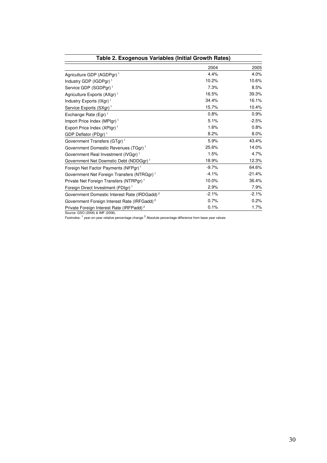| Table 2. Exogenous Variables (Initial Growth Rates)      |         |          |
|----------------------------------------------------------|---------|----------|
|                                                          | 2004    | 2005     |
| Agriculture GDP (AGDPgr) <sup>1</sup>                    | 4.4%    | 4.0%     |
| Industry GDP (IGDPgr) <sup>1</sup>                       | 10.2%   | 10.6%    |
| Service GDP (SGDPgr) <sup>1</sup>                        | 7.3%    | 8.5%     |
| Agriculture Exports (AXgr) <sup>1</sup>                  | 16.5%   | 39.3%    |
| Industry Exports $(IXgr)^1$                              | 34.4%   | 16.1%    |
| Service Exports (SXgr) <sup>1</sup>                      | 15.7%   | 10.4%    |
| Exchange Rate (Egr) <sup>1</sup>                         | 0.8%    | 0.9%     |
| Import Price Index (MPIgr) <sup>1</sup>                  | 5.1%    | $-2.5%$  |
| Export Price Index (XPIgr) <sup>1</sup>                  | 1.6%    | 0.8%     |
| GDP Deflator (PDgr) <sup>1</sup>                         | 8.2%    | 8.0%     |
| Government Transfers (GTgr) <sup>1</sup>                 | 5.9%    | 43.4%    |
| Government Domestic Revenues (TGgr) <sup>1</sup>         | 25.6%   | 14.0%    |
| Government Real Investment (IVGgr) <sup>1</sup>          | 1.5%    | 4.7%     |
| Government Net Doemstic Debt (NDDGgr) <sup>1</sup>       | 18.9%   | 12.3%    |
| Foreign Net Factor Payments (NFPgr) <sup>1</sup>         | $-9.7%$ | 64.6%    |
| Government Net Foreign Transfers (NTRGgr) <sup>1</sup>   | $-4.1%$ | $-21.4%$ |
| Private Net Foreign Transfers (NTRPgr) <sup>1</sup>      | 10.0%   | 36.4%    |
| Foreign Direct Investment (FDIgr) <sup>1</sup>           | 2.9%    | 7.9%     |
| Government Domestic Interest Rate (IRDGadd) <sup>2</sup> | $-2.1%$ | $-2.1%$  |
| Government Foreign Interest Rate (IRFGadd) <sup>2</sup>  | 0.7%    | 0.2%     |
| Private Foreign Interest Rate (IRFPadd) <sup>2</sup>     | 0.1%    | 1.7%     |

Source: GSO (2006) & IMF (2006).<br>Footnotes: <sup>1</sup> year-on-year relative percentage change <sup>2</sup> Absolute percentage difference from base year values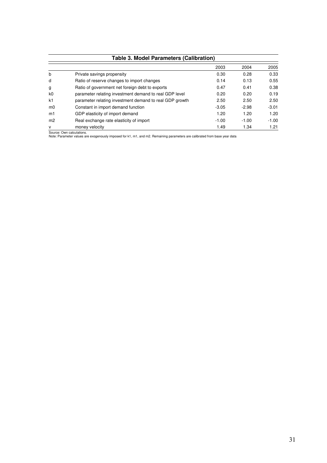|                | <b>Table 3. Model Parameters (Calibration)</b>          |         |         |         |  |  |  |  |  |  |
|----------------|---------------------------------------------------------|---------|---------|---------|--|--|--|--|--|--|
|                |                                                         | 2003    | 2004    | 2005    |  |  |  |  |  |  |
| b              | Private savings propensity                              | 0.30    | 0.28    | 0.33    |  |  |  |  |  |  |
| d              | Ratio of reserve changes to import changes              | 0.14    | 0.13    | 0.55    |  |  |  |  |  |  |
| g              | Ratio of government net foreign debt to exports         | 0.47    | 0.41    | 0.38    |  |  |  |  |  |  |
| k0             | parameter relating investment demand to real GDP level  | 0.20    | 0.20    | 0.19    |  |  |  |  |  |  |
| k1             | parameter relating investment demand to real GDP growth | 2.50    | 2.50    | 2.50    |  |  |  |  |  |  |
| m <sub>0</sub> | Constant in import demand function                      | $-3.05$ | $-2.98$ | $-3.01$ |  |  |  |  |  |  |
| m1             | GDP elasticity of import demand                         | 1.20    | 1.20    | 1.20    |  |  |  |  |  |  |
| m <sub>2</sub> | Real exchange rate elasticity of import                 | $-1.00$ | $-1.00$ | $-1.00$ |  |  |  |  |  |  |
| v              | money velocity                                          | 1.49    | 1.34    | 1.21    |  |  |  |  |  |  |

Source: Own calculations. Note: Parameter values are exogenously imposed for k1, m1, and m2. Remaining parameters are calibrated from base year data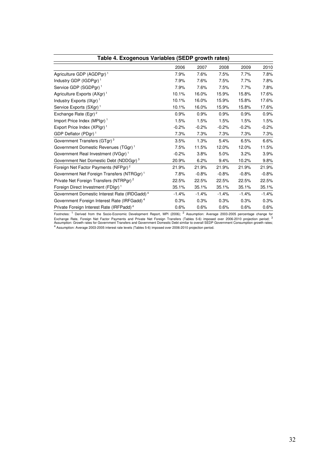| Table 4. Exogenous Variables (SEDP growth rates)         |         |         |         |         |         |  |  |  |  |
|----------------------------------------------------------|---------|---------|---------|---------|---------|--|--|--|--|
|                                                          | 2006    | 2007    | 2008    | 2009    | 2010    |  |  |  |  |
| Agriculture GDP (AGDPgr) <sup>1</sup>                    | 7.9%    | 7.6%    | 7.5%    | 7.7%    | 7.8%    |  |  |  |  |
| Industry GDP (IGDPgr) <sup>1</sup>                       | 7.9%    | 7.6%    | 7.5%    | 7.7%    | 7.8%    |  |  |  |  |
| Service GDP (SGDPgr) <sup>1</sup>                        | 7.9%    | 7.6%    | 7.5%    | 7.7%    | 7.8%    |  |  |  |  |
| Agriculture Exports (AXgr) <sup>1</sup>                  | 10.1%   | 16.0%   | 15.9%   | 15.8%   | 17.6%   |  |  |  |  |
| Industry Exports $(IXgr)^1$                              | 10.1%   | 16.0%   | 15.9%   | 15.8%   | 17.6%   |  |  |  |  |
| Service Exports (SXgr) <sup>1</sup>                      | 10.1%   | 16.0%   | 15.9%   | 15.8%   | 17.6%   |  |  |  |  |
| Exchange Rate (Egr) <sup>2</sup>                         | 0.9%    | 0.9%    | 0.9%    | 0.9%    | 0.9%    |  |  |  |  |
| Import Price Index (MPIgr) <sup>1</sup>                  | 1.5%    | 1.5%    | 1.5%    | 1.5%    | 1.5%    |  |  |  |  |
| Export Price Index (XPIgr) <sup>1</sup>                  | $-0.2%$ | $-0.2%$ | $-0.2%$ | $-0.2%$ | $-0.2%$ |  |  |  |  |
| GDP Deflator (PDgr) <sup>1</sup>                         | 7.3%    | 7.3%    | 7.3%    | 7.3%    | 7.3%    |  |  |  |  |
| Government Transfers (GTgr) <sup>3</sup>                 | 3.5%    | 1.3%    | 5.4%    | 6.5%    | 6.6%    |  |  |  |  |
| Government Domestic Revenues (TGgr) <sup>1</sup>         | 7.5%    | 11.5%   | 12.0%   | 12.0%   | 11.5%   |  |  |  |  |
| Government Real Investment (IVGgr) <sup>1</sup>          | $-0.2%$ | 3.8%    | 5.0%    | 3.2%    | 3.9%    |  |  |  |  |
| Government Net Domestic Debt (NDDGgr) <sup>3</sup>       | 20.9%   | 6.2%    | 9.4%    | 10.2%   | 9.8%    |  |  |  |  |
| Foreign Net Factor Payments (NFPgr) <sup>2</sup>         | 21.9%   | 21.9%   | 21.9%   | 21.9%   | 21.9%   |  |  |  |  |
| Government Net Foreign Transfers (NTRGgr) <sup>1</sup>   | 7.8%    | $-0.8%$ | $-0.8%$ | $-0.8%$ | $-0.8%$ |  |  |  |  |
| Private Net Foreign Transfers (NTRPgr) <sup>2</sup>      | 22.5%   | 22.5%   | 22.5%   | 22.5%   | 22.5%   |  |  |  |  |
| Foreign Direct Investment (FDIgr) <sup>1</sup>           | 35.1%   | 35.1%   | 35.1%   | 35.1%   | 35.1%   |  |  |  |  |
| Government Domestic Interest Rate (IRDGadd) <sup>4</sup> | $-1.4%$ | $-1.4%$ | $-1.4%$ | $-1.4%$ | $-1.4%$ |  |  |  |  |
| Government Foreign Interest Rate (IRFGadd) <sup>4</sup>  | 0.3%    | 0.3%    | 0.3%    | 0.3%    | 0.3%    |  |  |  |  |
| Private Foreign Interest Rate (IRFPadd) <sup>4</sup>     | 0.6%    | 0.6%    | 0.6%    | 0.6%    | 0.6%    |  |  |  |  |

Footnotes: <sup>1</sup> Derived from the Socio-Economic Development Report, MPI (2006); <sup>2</sup> Assumption: Average 2003-2005 percentage change for<br>Exchange Rate, Foreign Net Factor Payments and Private Net Foreign Transfers (Tables 5-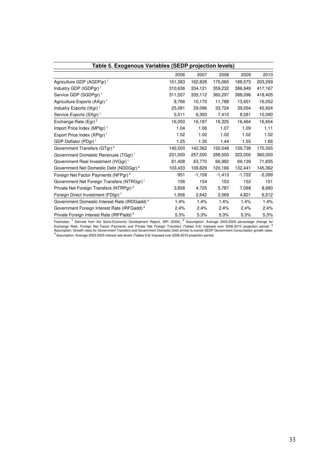| Table 5. Exogenous Variables (SEDP projection levels)    |         |          |          |          |          |  |  |  |  |
|----------------------------------------------------------|---------|----------|----------|----------|----------|--|--|--|--|
|                                                          | 2006    | 2007     | 2008     | 2009     | 2010     |  |  |  |  |
| Agriculture GDP (AGDPgr) <sup>1</sup>                    | 151,383 | 162,828  | 175,065  | 188,573  | 203,299  |  |  |  |  |
| Industry GDP (IGDPgr) <sup>1</sup>                       | 310,636 | 334,121  | 359,232  | 386,949  | 417,167  |  |  |  |  |
| Service GDP (SGDPgr) <sup>1</sup>                        | 311,557 | 335,112  | 360,297  | 388,096  | 418,405  |  |  |  |  |
| Agriculture Exports (AXgr) <sup>1</sup>                  | 8,766   | 10,170   | 11,788   | 13,651   | 16,052   |  |  |  |  |
| Industry Exports (IXgr) <sup>1</sup>                     | 25,081  | 29,096   | 33,724   | 39,054   | 45,924   |  |  |  |  |
| Service Exports (SXgr) <sup>1</sup>                      | 5,511   | 6,393    | 7,410    | 8,581    | 10,090   |  |  |  |  |
| Exchange Rate (Egr) <sup>2</sup>                         | 16,050  | 16.187   | 16.325   | 16.464   | 16,604   |  |  |  |  |
| Import Price Index (MPIgr) <sup>1</sup>                  | 1.04    | 1.06     | 1.07     | 1.09     | 1.11     |  |  |  |  |
| Export Price Index (XPIgr) <sup>1</sup>                  | 1.02    | 1.02     | 1.02     | 1.02     | 1.02     |  |  |  |  |
| GDP Deflator (PDgr) <sup>1</sup>                         | 1.25    | 1.35     | 1.44     | 1.55     | 1.66     |  |  |  |  |
| Government Transfers (GTgr) <sup>3</sup>                 | 140,500 | 142,362  | 150,048  | 159,738  | 170,355  |  |  |  |  |
| Government Domestic Revenues (TGgr) <sup>1</sup>         | 231,000 | 257,500  | 288,500  | 323,000  | 360,000  |  |  |  |  |
| Government Real Investment (IVGgr) <sup>1</sup>          | 61,408  | 63,770   | 66,982   | 69,139   | 71,835   |  |  |  |  |
| Government Net Domestic Debt (NDDGgr) <sup>3</sup>       | 103,433 | 109,829  | 120,166  | 132,441  | 145,362  |  |  |  |  |
| Foreign Net Factor Payments (NFPgr) <sup>2</sup>         | $-951$  | $-1,159$ | $-1,413$ | $-1,722$ | $-2,099$ |  |  |  |  |
| Government Net Foreign Transfers (NTRGgr) <sup>1</sup>   | 156     | 154      | 153      | 152      | 151      |  |  |  |  |
| Private Net Foreign Transfers (NTRPgr) <sup>2</sup>      | 3,858   | 4,725    | 5,787    | 7,088    | 8,680    |  |  |  |  |
| Foreign Direct Investment (FDIgr) <sup>1</sup>           | 1,956   | 2,642    | 3,569    | 4,821    | 6,512    |  |  |  |  |
| Government Domestic Interest Rate (IRDGadd) <sup>4</sup> | 1.4%    | 1.4%     | 1.4%     | 1.4%     | 1.4%     |  |  |  |  |
| Government Foreign Interest Rate (IRFGadd) <sup>4</sup>  | 2.4%    | 2.4%     | 2.4%     | 2.4%     | 2.4%     |  |  |  |  |
| Private Foreign Interest Rate (IRFPadd) <sup>4</sup>     | 5.3%    | 5.3%     | 5.3%     | 5.3%     | 5.3%     |  |  |  |  |

Footnotes: <sup>1</sup> Derived from the Socio-Economic Development Report, MPI (2006); <sup>2</sup> Assumption: Average 2003-2005 percentage change for<br>Exchange Rate, Foreign Net Factor Payments and Private Net Foreign Transfers (Tables 5-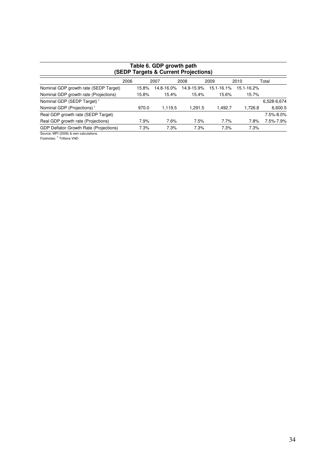| Table 6. GDP growth path<br>(SEDP Targets & Current Projections) |      |       |            |            |         |            |            |             |  |  |  |
|------------------------------------------------------------------|------|-------|------------|------------|---------|------------|------------|-------------|--|--|--|
|                                                                  | 2006 |       | 2007       | 2008       |         | 2009       | 2010       | Total       |  |  |  |
| Nominal GDP growth rate (SEDP Target)                            |      | 15.8% | 14.8-16.0% | 14.9-15.9% |         | 15.1-16.1% | 15.1-16.2% |             |  |  |  |
| Nominal GDP growth rate (Projections)                            |      | 15.8% | 15.4%      |            | 15.4%   | 15.6%      | 15.7%      |             |  |  |  |
| Nominal GDP (SEDP Target) <sup>1</sup>                           |      |       |            |            |         |            |            | 6,528-6,674 |  |  |  |
| Nominal GDP (Projections) <sup>1</sup>                           |      | 970.0 | 1,119.5    |            | 1,291.5 | 1,492.7    | 1,726.8    | 6,600.5     |  |  |  |
| Real GDP growth rate (SEDP Target)                               |      |       |            |            |         |            |            | 7.5%-8.0%   |  |  |  |
| Real GDP growth rate (Projections)                               |      | 7.9%  | 7.6%       |            | 7.5%    | 7.7%       | 7.8%       | 7.5%-7.9%   |  |  |  |
| <b>GDP Deflator Growth Rate (Projections)</b>                    |      | 7.3%  | 7.3%       |            | 7.3%    | 7.3%       | 7.3%       |             |  |  |  |
|                                                                  |      |       |            |            |         |            |            |             |  |  |  |

Source: MPI (2006) & own calculations.<br>Footnotes: <sup>1</sup> Trillions VND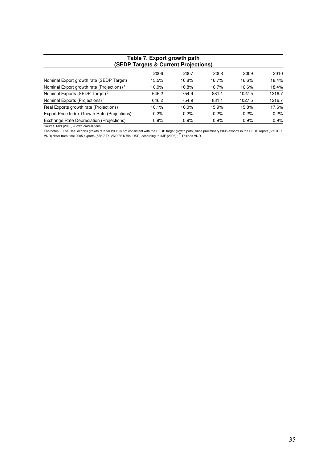| Table 7. Export growth path<br>(SEDP Targets & Current Projections) |         |         |         |         |         |  |  |  |  |  |
|---------------------------------------------------------------------|---------|---------|---------|---------|---------|--|--|--|--|--|
| 2006<br>2008<br>2009<br>2007                                        |         |         |         |         |         |  |  |  |  |  |
| Nominal Export growth rate (SEDP Target)                            | 15.5%   | 16.8%   | 16.7%   | 16.6%   | 18.4%   |  |  |  |  |  |
| Nominal Export growth rate (Projections) <sup>1</sup>               | 10.9%   | 16.8%   | 16.7%   | 16.6%   | 18.4%   |  |  |  |  |  |
| Nominal Exports (SEDP Target) <sup>2</sup>                          | 646.2   | 754.9   | 881.1   | 1027.5  | 1216.7  |  |  |  |  |  |
| Nominal Exports (Projections) <sup>2</sup>                          | 646.2   | 754.9   | 881.1   | 1027.5  | 1216.7  |  |  |  |  |  |
| Real Exports growth rate (Projections)                              | 10.1%   | 16.0%   | 15.9%   | 15.8%   | 17.6%   |  |  |  |  |  |
| Export Price Index Growth Rate (Projections)                        | $-0.2%$ | $-0.2%$ | $-0.2%$ | $-0.2%$ | $-0.2%$ |  |  |  |  |  |
| Exchange Rate Depreciation (Projections)                            | 0.9%    | 0.9%    | 0.9%    | 0.9%    | 0.9%    |  |  |  |  |  |

# **Table 7. Export growth path**

Source: MPI (2006) & own calculations.<br>Footnotes: <sup>1</sup> The Real exports growth rate for 2006 is not consistent with the SEDP target growth path, since preliminary 2005 exports in the SEDP report (559.3 Tr.<br>VND) differ from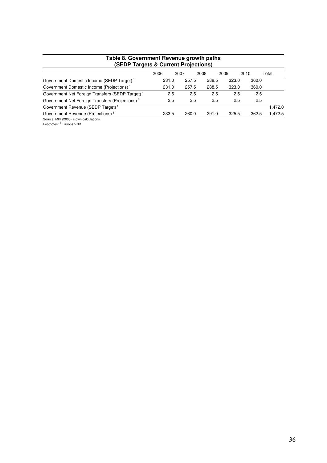| Table 8. Government Revenue growth paths<br><b>(SEDP Targets &amp; Current Projections)</b> |       |       |       |       |       |         |  |  |  |
|---------------------------------------------------------------------------------------------|-------|-------|-------|-------|-------|---------|--|--|--|
|                                                                                             | 2006  | 2007  | 2008  | 2009  | 2010  | Total   |  |  |  |
| Government Domestic Income (SEDP Target) <sup>1</sup>                                       | 231.0 | 257.5 | 288.5 | 323.0 | 360.0 |         |  |  |  |
| Government Domestic Income (Projections) <sup>1</sup>                                       | 231.0 | 257.5 | 288.5 | 323.0 | 360.0 |         |  |  |  |
| Government Net Foreign Transfers (SEDP Target) <sup>1</sup>                                 | 2.5   | 2.5   | 2.5   | 2.5   | 2.5   |         |  |  |  |
| Government Net Foreign Transfers (Projections) <sup>1</sup>                                 | 2.5   | 2.5   | 2.5   | 2.5   | 2.5   |         |  |  |  |
| Government Revenue (SEDP Target) <sup>1</sup>                                               |       |       |       |       |       | 1,472.0 |  |  |  |
| Government Revenue (Projections) <sup>1</sup>                                               | 233.5 | 260.0 | 291.0 | 325.5 | 362.5 | 1,472.5 |  |  |  |
| Source: MPI (2006) & own calculations.<br>Footnotes: <sup>1</sup> Trillions VND             |       |       |       |       |       |         |  |  |  |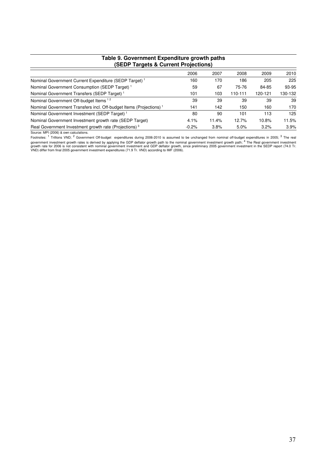| rable 9. Government Expenditure growth paths<br>(SEDP Targets & Current Projections) |         |       |         |         |         |  |  |  |
|--------------------------------------------------------------------------------------|---------|-------|---------|---------|---------|--|--|--|
|                                                                                      | 2006    | 2007  | 2008    | 2009    | 2010    |  |  |  |
| Nominal Government Current Expenditure (SEDP Target) <sup>1</sup>                    | 160     | 170   | 186     | 205     | 225     |  |  |  |
| Nominal Government Consumption (SEDP Target) <sup>1</sup>                            | 59      | 67    | 75-76   | 84-85   | 93-95   |  |  |  |
| Nominal Government Transfers (SEDP Target) <sup>1</sup>                              | 101     | 103   | 110-111 | 120-121 | 130-132 |  |  |  |
| Nominal Government Off-budget Items <sup>12</sup>                                    | 39      | 39    | 39      | 39      | 39      |  |  |  |
| Nominal Government Transfers incl. Off-budget Items (Projections) <sup>1</sup>       | 141     | 142   | 150     | 160     | 170     |  |  |  |
| Nominal Government Investment (SEDP Target) <sup>1</sup>                             | 80      | 90    | 101     | 113     | 125     |  |  |  |
| Nominal Government Investment growth rate (SEDP Target)                              | 4.1%    | 11.4% | 12.7%   | 10.8%   | 11.5%   |  |  |  |
| Real Government Investment growth rate (Projections) <sup>3</sup>                    | $-0.2%$ | 3.8%  | 5.0%    | 3.2%    | 3.9%    |  |  |  |

# **Table 9. Government Expenditure growth paths**

Source: MPI (2006) & own calculations.<br>Footnotes: <sup>1</sup> Trillions VND; <sup>2</sup> Government Off-budget expenditures during 2006-2010 is assumed to be unchanged from nominal off-budget expenditures in 2005; <sup>3</sup> The real<br>government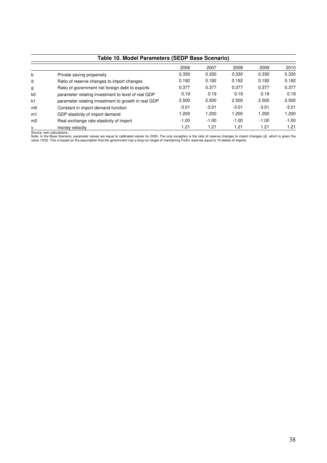| Table 10. Model Parameters (SEDP Base Scenario) |                                                     |         |         |         |         |         |  |  |  |
|-------------------------------------------------|-----------------------------------------------------|---------|---------|---------|---------|---------|--|--|--|
|                                                 |                                                     | 2006    | 2007    | 2008    | 2009    | 2010    |  |  |  |
| b                                               | Private saving propensity                           | 0.330   | 0.330   | 0.330   | 0.330   | 0.330   |  |  |  |
| d                                               | Ratio of reserve changes to import changes          | 0.192   | 0.192   | 0.192   | 0.192   | 0.192   |  |  |  |
| g                                               | Ratio of government net foreign debt to exports     | 0.377   | 0.377   | 0.377   | 0.377   | 0.377   |  |  |  |
| k0                                              | parameter relating investment to level of real GDP  | 0.19    | 0.19    | 0.19    | 0.19    | 0.19    |  |  |  |
| k1                                              | parameter relating investment to growth in real GDP | 2.500   | 2.500   | 2.500   | 2.500   | 2.500   |  |  |  |
| m <sub>0</sub>                                  | Constant in import demand function                  | $-3.01$ | $-3.01$ | $-3.01$ | $-3.01$ | $-3.01$ |  |  |  |
| m1                                              | GDP elasticity of import demand                     | 1.200   | 1.200   | 1.200   | 1.200   | 1.200   |  |  |  |
| m <sub>2</sub>                                  | Real exchange rate elasticity of import             | $-1.00$ | $-1.00$ | $-1.00$ | $-1.00$ | $-1.00$ |  |  |  |
| v                                               | money velocity                                      | 1.21    | 1.21    | 1.21    | 1.21    | 1.21    |  |  |  |

Source: own calculations.<br>Note: In the Base Scenario, parameter values are equal to calibrated values for 2005. The only exception is the ratio of reserve changes to import changes (d), which is given the<br>value 10/52. This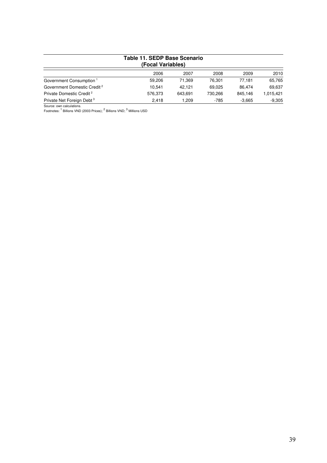| Table 11. SEDP Base Scenario<br>(Focal Variables) |         |         |         |          |           |  |  |  |  |  |
|---------------------------------------------------|---------|---------|---------|----------|-----------|--|--|--|--|--|
|                                                   | 2006    | 2007    | 2008    | 2009     | 2010      |  |  |  |  |  |
| Government Consumption <sup>1</sup>               | 59.206  | 71.369  | 76.301  | 77.181   | 65,765    |  |  |  |  |  |
| Government Domestic Credit <sup>2</sup>           | 10.541  | 42.121  | 69.025  | 86.474   | 69.637    |  |  |  |  |  |
| Private Domestic Credit <sup>2</sup>              | 576,373 | 643.691 | 730.266 | 845.146  | 1.015.421 |  |  |  |  |  |
| Private Net Foreign Debt <sup>3</sup>             | 2.418   | 1.209   | -785    | $-3.665$ | $-9.305$  |  |  |  |  |  |

Source: own calculations.<br>Footnotes: <sup>1</sup> Billions VND (2003 Prices); <sup>2</sup> Billions VND; <sup>3</sup> Millions USD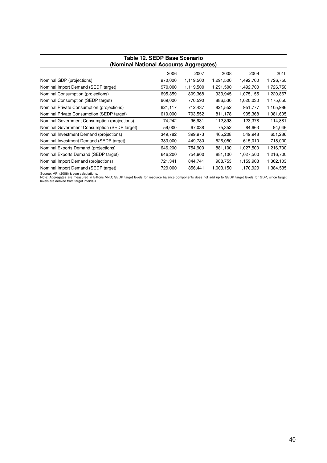| .,,,.,,,                                     |         |           |           |           |           |  |  |  |  |  |  |
|----------------------------------------------|---------|-----------|-----------|-----------|-----------|--|--|--|--|--|--|
|                                              | 2006    | 2007      | 2008      | 2009      | 2010      |  |  |  |  |  |  |
| Nominal GDP (projections)                    | 970,000 | 1,119,500 | 1,291,500 | 1,492,700 | 1,726,750 |  |  |  |  |  |  |
| Nominal Import Demand (SEDP target)          | 970,000 | 1,119,500 | 1,291,500 | 1,492,700 | 1,726,750 |  |  |  |  |  |  |
| Nominal Consumption (projections)            | 695,359 | 809,368   | 933,945   | 1,075,155 | 1,220,867 |  |  |  |  |  |  |
| Nominal Consumption (SEDP target)            | 669,000 | 770,590   | 886,530   | 1,020,030 | 1,175,650 |  |  |  |  |  |  |
| Nominal Private Consumption (projections)    | 621,117 | 712,437   | 821,552   | 951,777   | 1,105,986 |  |  |  |  |  |  |
| Nominal Private Consumption (SEDP target)    | 610,000 | 703,552   | 811,178   | 935,368   | 1,081,605 |  |  |  |  |  |  |
| Nominal Government Consumption (projections) | 74,242  | 96,931    | 112,393   | 123,378   | 114,881   |  |  |  |  |  |  |
| Nominal Government Consumption (SEDP target) | 59,000  | 67,038    | 75,352    | 84,663    | 94,046    |  |  |  |  |  |  |
| Nominal Investment Demand (projections)      | 349,782 | 399,973   | 465,208   | 549,948   | 651,286   |  |  |  |  |  |  |
| Nominal Investment Demand (SEDP target)      | 383,000 | 449,730   | 526,050   | 615,010   | 718,000   |  |  |  |  |  |  |
| Nominal Exports Demand (projections)         | 646,200 | 754,900   | 881,100   | 1,027,500 | 1,216,700 |  |  |  |  |  |  |
| Nominal Exports Demand (SEDP target)         | 646,200 | 754,900   | 881,100   | 1,027,500 | 1,216,700 |  |  |  |  |  |  |
| Nominal Import Demand (projections)          | 721,341 | 844,741   | 988,753   | 1,159,903 | 1,362,103 |  |  |  |  |  |  |
| Nominal Import Demand (SEDP target)          | 729,000 | 856,441   | 1,003,150 | 1,170,929 | 1,384,535 |  |  |  |  |  |  |

#### **Table 12. SEDP Base Scenario (Nominal National Accounts Aggregates)**

Source: MPI (2006) & own calculations.<br>Note: Aggregates are measured in Billions VND; SEDP target levels for resource balance components does not add up to SEDP target levels for GDP, since target<br>levels are derived from t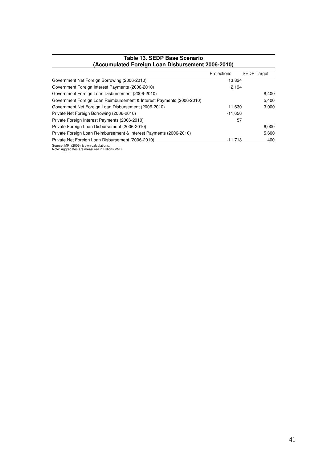| TADIC TV. OLDE DASC OCCHAIN<br>(Accumulated Foreign Loan Disbursement 2006-2010) |             |                    |
|----------------------------------------------------------------------------------|-------------|--------------------|
|                                                                                  | Projections | <b>SEDP Target</b> |
| Government Net Foreign Borrowing (2006-2010)                                     | 13,824      |                    |
| Government Foreign Interest Payments (2006-2010)                                 | 2.194       |                    |
| Government Foreign Loan Disbursement (2006-2010)                                 |             | 8,400              |
| Government Foreign Loan Reimbursement & Interest Payments (2006-2010)            |             | 5,400              |
| Government Net Foreign Loan Disbursement (2006-2010)                             | 11,630      | 3,000              |
| Private Net Foreign Borrowing (2006-2010)                                        | $-11.656$   |                    |
| Private Foreign Interest Payments (2006-2010)                                    | 57          |                    |
| Private Foreign Loan Disbursement (2006-2010)                                    |             | 6,000              |
| Private Foreign Loan Reimbursement & Interest Payments (2006-2010)               |             | 5,600              |
| Private Net Foreign Loan Disbursement (2006-2010)                                | $-11,713$   | 400                |
| Source: MPI (2006) & own calculations                                            |             |                    |

# **Table 13. SEDP Base Scenario**

Source: MPI (2006) & own calculations. Note: Aggregates are measured in Billions VND.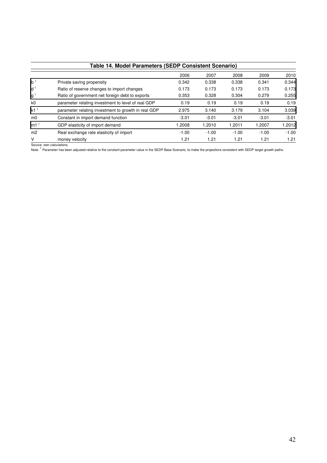|                                        | Table 14. Model Parameters (SEDP Consistent Scenario) |         |         |         |         |         |  |  |  |
|----------------------------------------|-------------------------------------------------------|---------|---------|---------|---------|---------|--|--|--|
|                                        |                                                       | 2006    | 2007    | 2008    | 2009    | 2010    |  |  |  |
| b <sup>1</sup>                         | Private saving propensity                             | 0.342   | 0.338   | 0.338   | 0.341   | 0.344   |  |  |  |
| $d^1$                                  | Ratio of reserve changes to import changes            | 0.173   | 0.173   | 0.173   | 0.173   | 0.173   |  |  |  |
| $\mathsf{g}^{\scriptscriptstyle \top}$ | Ratio of government net foreign debt to exports       | 0.353   | 0.328   | 0.304   | 0.279   | 0.255   |  |  |  |
| k0                                     | parameter relating investment to level of real GDP    | 0.19    | 0.19    | 0.19    | 0.19    | 0.19    |  |  |  |
| k1 <sup>1</sup>                        | parameter relating investment to growth in real GDP   | 2.975   | 3.140   | 3.179   | 3.104   | 3.039   |  |  |  |
| m <sub>0</sub>                         | Constant in import demand function                    | $-3.01$ | $-3.01$ | $-3.01$ | $-3.01$ | $-3.01$ |  |  |  |
| m1 <sup>1</sup>                        | GDP elasticity of import demand                       | 1.2008  | 1.2010  | 1.2011  | 1.2007  | 1.2012  |  |  |  |
| m <sub>2</sub>                         | Real exchange rate elasticity of import               | $-1.00$ | $-1.00$ | $-1.00$ | $-1.00$ | $-1.00$ |  |  |  |
| V                                      | money velocity                                        | 1.21    | 1.21    | 1.21    | 1.21    | 1.21    |  |  |  |

Source: own calculations.

Note: <sup>1</sup> Parameter has been adjusted relative to the constant parameter value in the SEDP Base Scenario, to make the projections consistent with SEDP target growth paths.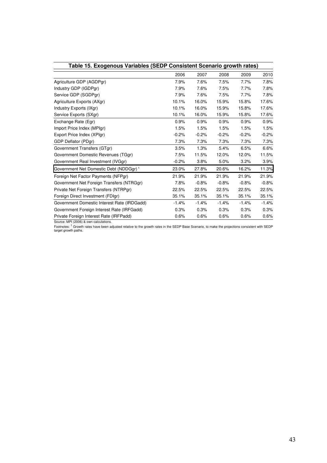| Table 15. Exogenous Variables (SEDP Consistent Scenario growth rates) |         |         |         |         |         |  |  |  |  |
|-----------------------------------------------------------------------|---------|---------|---------|---------|---------|--|--|--|--|
|                                                                       | 2006    | 2007    | 2008    | 2009    | 2010    |  |  |  |  |
| Agriculture GDP (AGDPgr)                                              | 7.9%    | 7.6%    | 7.5%    | 7.7%    | 7.8%    |  |  |  |  |
| Industry GDP (IGDPgr)                                                 | 7.9%    | 7.6%    | 7.5%    | 7.7%    | 7.8%    |  |  |  |  |
| Service GDP (SGDPgr)                                                  | 7.9%    | 7.6%    | 7.5%    | 7.7%    | 7.8%    |  |  |  |  |
| Agriculture Exports (AXgr)                                            | 10.1%   | 16.0%   | 15.9%   | 15.8%   | 17.6%   |  |  |  |  |
| Industry Exports (IXgr)                                               | 10.1%   | 16.0%   | 15.9%   | 15.8%   | 17.6%   |  |  |  |  |
| Service Exports (SXgr)                                                | 10.1%   | 16.0%   | 15.9%   | 15.8%   | 17.6%   |  |  |  |  |
| Exchange Rate (Egr)                                                   | 0.9%    | 0.9%    | 0.9%    | 0.9%    | 0.9%    |  |  |  |  |
| Import Price Index (MPIgr)                                            | 1.5%    | 1.5%    | 1.5%    | 1.5%    | 1.5%    |  |  |  |  |
| Export Price Index (XPIgr)                                            | $-0.2%$ | $-0.2%$ | $-0.2%$ | $-0.2%$ | $-0.2%$ |  |  |  |  |
| GDP Deflator (PDgr)                                                   | 7.3%    | 7.3%    | 7.3%    | 7.3%    | 7.3%    |  |  |  |  |
| Government Transfers (GTgr)                                           | 3.5%    | 1.3%    | 5.4%    | 6.5%    | 6.6%    |  |  |  |  |
| Government Domestic Revenues (TGgr)                                   | 7.5%    | 11.5%   | 12.0%   | 12.0%   | 11.5%   |  |  |  |  |
| Government Real Investment (IVGgr)                                    | $-0.2%$ | 3.8%    | 5.0%    | 3.2%    | 3.9%    |  |  |  |  |
| Government Net Domestic Debt (NDDGgr) <sup>1</sup>                    | 23.0%   | 27.8%   | 20.6%   | 16.2%   | 11.3%   |  |  |  |  |
| Foreign Net Factor Payments (NFPgr)                                   | 21.9%   | 21.9%   | 21.9%   | 21.9%   | 21.9%   |  |  |  |  |
| Government Net Foreign Transfers (NTRGgr)                             | 7.8%    | $-0.8%$ | $-0.8%$ | $-0.8%$ | $-0.8%$ |  |  |  |  |
| Private Net Foreign Transfers (NTRPgr)                                | 22.5%   | 22.5%   | 22.5%   | 22.5%   | 22.5%   |  |  |  |  |
| Foreign Direct Investment (FDIgr)                                     | 35.1%   | 35.1%   | 35.1%   | 35.1%   | 35.1%   |  |  |  |  |
| Government Domestic Interest Rate (IRDGadd)                           | $-1.4%$ | $-1.4%$ | $-1.4%$ | $-1.4%$ | $-1.4%$ |  |  |  |  |
| Government Foreign Interest Rate (IRFGadd)                            | 0.3%    | 0.3%    | 0.3%    | 0.3%    | 0.3%    |  |  |  |  |
| Private Foreign Interest Rate (IRFPadd)                               | 0.6%    | 0.6%    | 0.6%    | 0.6%    | 0.6%    |  |  |  |  |

Source: MPI (2006) & own calculations.<br>Footnotes: <sup>1</sup> Growth rates have been adjusted relative to the growth rates in the SEDP Base Scenario, to make the projections consistent with SEDP<br>target growth paths.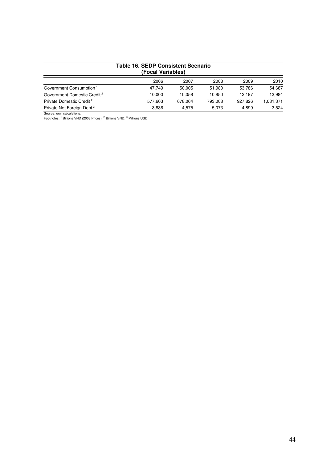| Table 16. SEDP Consistent Scenario<br>(Focal Variables) |         |         |         |         |           |  |  |  |  |
|---------------------------------------------------------|---------|---------|---------|---------|-----------|--|--|--|--|
|                                                         | 2006    | 2007    | 2008    | 2009    | 2010      |  |  |  |  |
| Government Consumption <sup>1</sup>                     | 47.749  | 50.005  | 51.980  | 53.786  | 54.687    |  |  |  |  |
| Government Domestic Credit <sup>2</sup>                 | 10.000  | 10.058  | 10.850  | 12.197  | 13.984    |  |  |  |  |
| Private Domestic Credit <sup>2</sup>                    | 577.603 | 678.064 | 793.008 | 927.826 | 1,081,371 |  |  |  |  |
| Private Net Foreign Debt <sup>3</sup>                   | 3.836   | 4.575   | 5,073   | 4.899   | 3.524     |  |  |  |  |

Source: own calculations.<br>Footnotes: <sup>1</sup> Billions VND (2003 Prices); <sup>2</sup> Billions VND; <sup>3</sup> Millions USD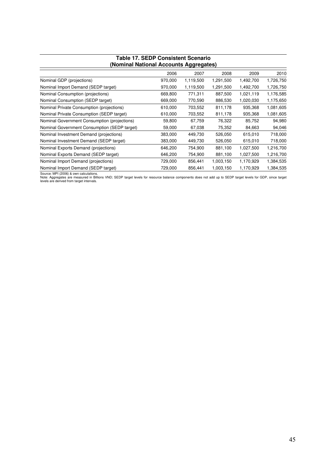| Table TT. SEDF CONSISTENT SCENATIO<br>(Nominal National Accounts Aggregates) |         |           |           |           |           |  |  |  |
|------------------------------------------------------------------------------|---------|-----------|-----------|-----------|-----------|--|--|--|
|                                                                              | 2006    | 2007      | 2008      | 2009      | 2010      |  |  |  |
| Nominal GDP (projections)                                                    | 970,000 | 1,119,500 | 1,291,500 | 1,492,700 | 1,726,750 |  |  |  |
| Nominal Import Demand (SEDP target)                                          | 970,000 | 1,119,500 | 1,291,500 | 1,492,700 | 1,726,750 |  |  |  |
| Nominal Consumption (projections)                                            | 669,800 | 771,311   | 887,500   | 1,021,119 | 1,176,585 |  |  |  |
| Nominal Consumption (SEDP target)                                            | 669,000 | 770,590   | 886,530   | 1,020,030 | 1,175,650 |  |  |  |
| Nominal Private Consumption (projections)                                    | 610,000 | 703,552   | 811,178   | 935,368   | 1,081,605 |  |  |  |
| Nominal Private Consumption (SEDP target)                                    | 610,000 | 703,552   | 811,178   | 935,368   | 1,081,605 |  |  |  |
| Nominal Government Consumption (projections)                                 | 59,800  | 67,759    | 76,322    | 85,752    | 94,980    |  |  |  |
| Nominal Government Consumption (SEDP target)                                 | 59,000  | 67,038    | 75,352    | 84,663    | 94,046    |  |  |  |
| Nominal Investment Demand (projections)                                      | 383,000 | 449,730   | 526,050   | 615,010   | 718,000   |  |  |  |
| Nominal Investment Demand (SEDP target)                                      | 383,000 | 449,730   | 526,050   | 615,010   | 718,000   |  |  |  |
| Nominal Exports Demand (projections)                                         | 646,200 | 754,900   | 881,100   | 1,027,500 | 1,216,700 |  |  |  |
| Nominal Exports Demand (SEDP target)                                         | 646,200 | 754,900   | 881,100   | 1,027,500 | 1,216,700 |  |  |  |
| Nominal Import Demand (projections)                                          | 729,000 | 856,441   | 1,003,150 | 1,170,929 | 1,384,535 |  |  |  |
| Nominal Import Demand (SEDP target)                                          | 729,000 | 856,441   | 1,003,150 | 1,170,929 | 1,384,535 |  |  |  |

# **Table 17. SEDP Consistent Scenario**

Source: MPI (2006) & own calculations.<br>Note: Aggregates are measured in Billions VND; SEDP target levels for resource balance components does not add up to SEDP target levels for GDP, since target<br>levels are derived from t